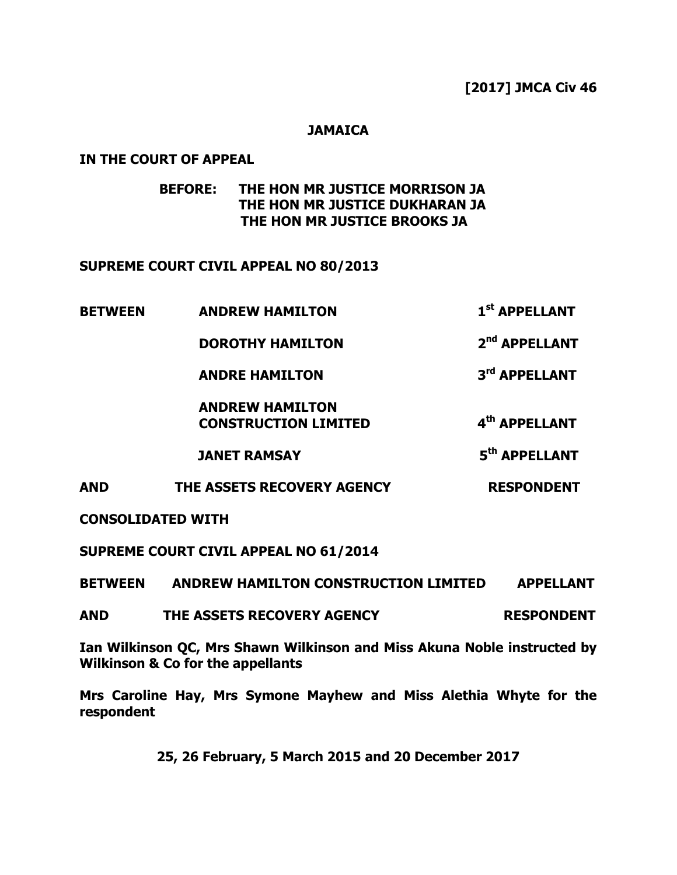### **[2017] JMCA Civ 46**

**st APPELLANT**

### **JAMAICA**

### **IN THE COURT OF APPEAL**

# **BEFORE: THE HON MR JUSTICE MORRISON JA THE HON MR JUSTICE DUKHARAN JA THE HON MR JUSTICE BROOKS JA**

### **SUPREME COURT CIVIL APPEAL NO 80/2013**

**BETWEEN ANDREW HAMILTON 1**

|  | <b>DOROTHY HAMILTON</b>                               | 2 <sup>nd</sup> APPELLANT |
|--|-------------------------------------------------------|---------------------------|
|  | <b>ANDRE HAMILTON</b>                                 | 3rd APPELLANT             |
|  | <b>ANDREW HAMILTON</b><br><b>CONSTRUCTION LIMITED</b> | 4 <sup>th</sup> APPELLANT |
|  | <b>JANET RAMSAY</b>                                   | 5 <sup>th</sup> APPELLANT |

**AND THE ASSETS RECOVERY AGENCY RESPONDENT**

**CONSOLIDATED WITH**

**SUPREME COURT CIVIL APPEAL NO 61/2014**

**BETWEEN ANDREW HAMILTON CONSTRUCTION LIMITED APPELLANT**

**AND THE ASSETS RECOVERY AGENCY RESPONDENT**

**Ian Wilkinson QC, Mrs Shawn Wilkinson and Miss Akuna Noble instructed by Wilkinson & Co for the appellants**

**Mrs Caroline Hay, Mrs Symone Mayhew and Miss Alethia Whyte for the respondent**

**25, 26 February, 5 March 2015 and 20 December 2017**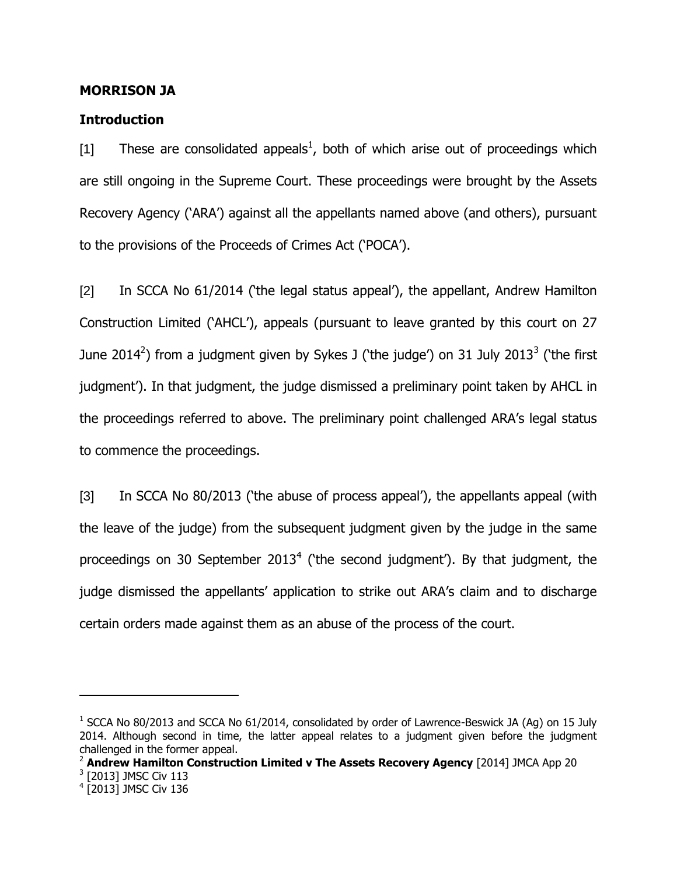#### **MORRISON JA**

#### **Introduction**

[1] These are consolidated appeals<sup>1</sup>, both of which arise out of proceedings which are still ongoing in the Supreme Court. These proceedings were brought by the Assets Recovery Agency ("ARA") against all the appellants named above (and others), pursuant to the provisions of the Proceeds of Crimes Act ("POCA").

[2] In SCCA No 61/2014 ("the legal status appeal"), the appellant, Andrew Hamilton Construction Limited ("AHCL"), appeals (pursuant to leave granted by this court on 27 June 2014<sup>2</sup>) from a judgment given by Sykes J ('the judge') on 31 July 2013<sup>3</sup> ('the first judgment'). In that judgment, the judge dismissed a preliminary point taken by AHCL in the proceedings referred to above. The preliminary point challenged ARA"s legal status to commence the proceedings.

[3] In SCCA No 80/2013 ("the abuse of process appeal"), the appellants appeal (with the leave of the judge) from the subsequent judgment given by the judge in the same proceedings on 30 September 2013<sup>4</sup> ('the second judgment'). By that judgment, the judge dismissed the appellants' application to strike out ARA's claim and to discharge certain orders made against them as an abuse of the process of the court.

 $1$  SCCA No 80/2013 and SCCA No 61/2014, consolidated by order of Lawrence-Beswick JA (Ag) on 15 July 2014. Although second in time, the latter appeal relates to a judgment given before the judgment challenged in the former appeal.

<sup>2</sup> **Andrew Hamilton Construction Limited v The Assets Recovery Agency** [2014] JMCA App 20

<sup>&</sup>lt;sup>3</sup> [2013] JMSC Civ 113

<sup>4</sup> [2013] JMSC Civ 136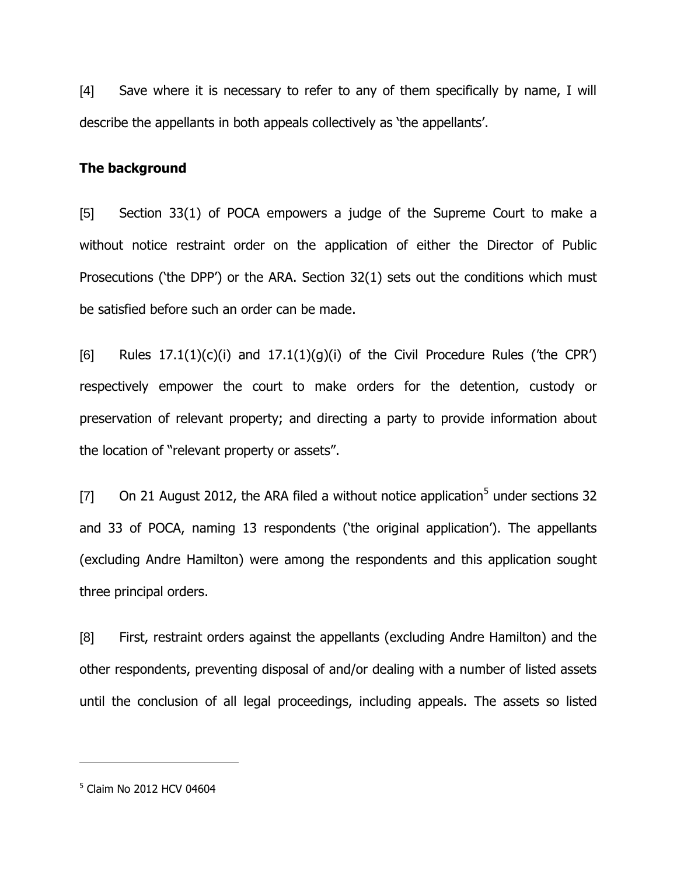[4] Save where it is necessary to refer to any of them specifically by name, I will describe the appellants in both appeals collectively as "the appellants".

#### **The background**

[5] Section 33(1) of POCA empowers a judge of the Supreme Court to make a without notice restraint order on the application of either the Director of Public Prosecutions ('the DPP') or the ARA. Section 32(1) sets out the conditions which must be satisfied before such an order can be made.

[6] Rules  $17.1(1)(c)(i)$  and  $17.1(1)(g)(i)$  of the Civil Procedure Rules ('the CPR') respectively empower the court to make orders for the detention, custody or preservation of relevant property; and directing a party to provide information about the location of "relevant property or assets".

[7]  $\;\;$  On 21 August 2012, the ARA filed a without notice application<sup>5</sup> under sections 32 and 33 of POCA, naming 13 respondents ('the original application'). The appellants (excluding Andre Hamilton) were among the respondents and this application sought three principal orders.

[8] First, restraint orders against the appellants (excluding Andre Hamilton) and the other respondents, preventing disposal of and/or dealing with a number of listed assets until the conclusion of all legal proceedings, including appeals. The assets so listed

<sup>&</sup>lt;sup>5</sup> Claim No 2012 HCV 04604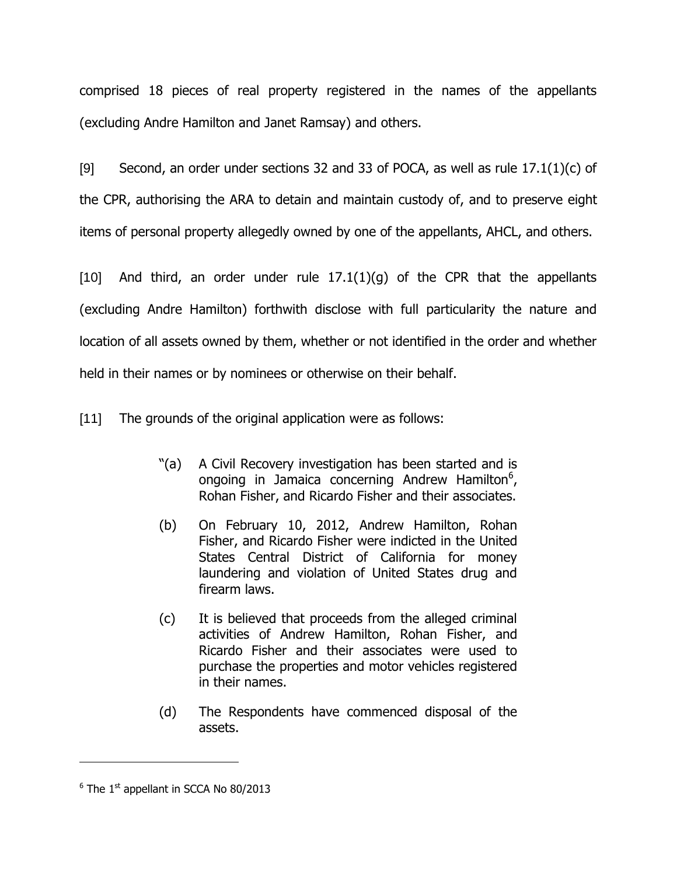comprised 18 pieces of real property registered in the names of the appellants (excluding Andre Hamilton and Janet Ramsay) and others.

[9] Second, an order under sections 32 and 33 of POCA, as well as rule  $17.1(1)(c)$  of the CPR, authorising the ARA to detain and maintain custody of, and to preserve eight items of personal property allegedly owned by one of the appellants, AHCL, and others.

[10] And third, an order under rule  $17.1(1)(q)$  of the CPR that the appellants (excluding Andre Hamilton) forthwith disclose with full particularity the nature and location of all assets owned by them, whether or not identified in the order and whether held in their names or by nominees or otherwise on their behalf.

[11] The grounds of the original application were as follows:

- "(a) A Civil Recovery investigation has been started and is ongoing in Jamaica concerning Andrew Hamilton $<sup>6</sup>$ ,</sup> Rohan Fisher, and Ricardo Fisher and their associates.
- (b) On February 10, 2012, Andrew Hamilton, Rohan Fisher, and Ricardo Fisher were indicted in the United States Central District of California for money laundering and violation of United States drug and firearm laws.
- (c) It is believed that proceeds from the alleged criminal activities of Andrew Hamilton, Rohan Fisher, and Ricardo Fisher and their associates were used to purchase the properties and motor vehicles registered in their names.
- (d) The Respondents have commenced disposal of the assets.

 $6$  The 1st appellant in SCCA No 80/2013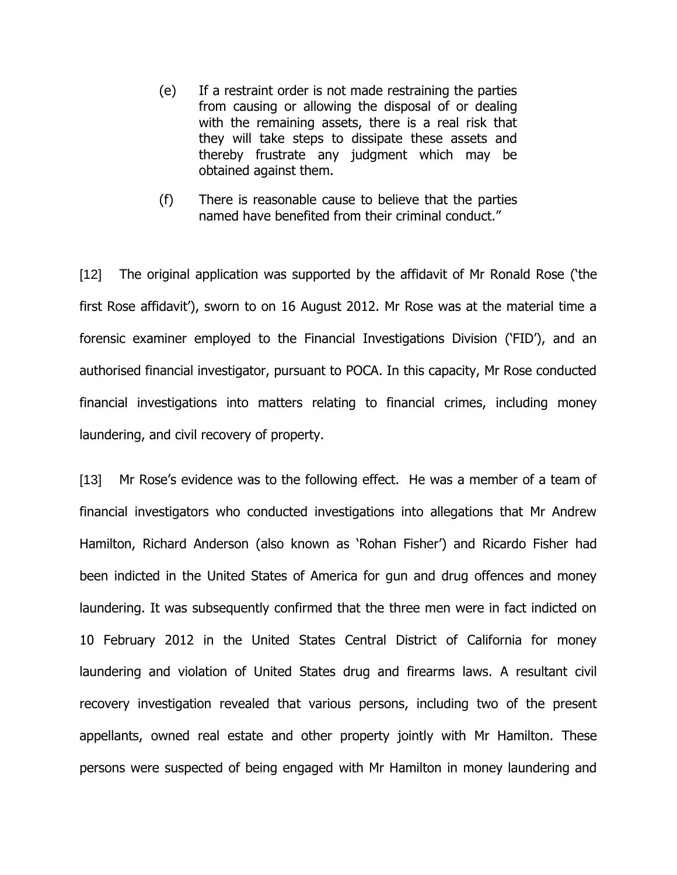- (e) If a restraint order is not made restraining the parties from causing or allowing the disposal of or dealing with the remaining assets, there is a real risk that they will take steps to dissipate these assets and thereby frustrate any judgment which may be obtained against them.
- (f) There is reasonable cause to believe that the parties named have benefited from their criminal conduct."

[12] The original application was supported by the affidavit of Mr Ronald Rose ("the first Rose affidavit'), sworn to on 16 August 2012. Mr Rose was at the material time a forensic examiner employed to the Financial Investigations Division ('FID'), and an authorised financial investigator, pursuant to POCA. In this capacity, Mr Rose conducted financial investigations into matters relating to financial crimes, including money laundering, and civil recovery of property.

[13] Mr Rose's evidence was to the following effect. He was a member of a team of financial investigators who conducted investigations into allegations that Mr Andrew Hamilton, Richard Anderson (also known as "Rohan Fisher") and Ricardo Fisher had been indicted in the United States of America for gun and drug offences and money laundering. It was subsequently confirmed that the three men were in fact indicted on 10 February 2012 in the United States Central District of California for money laundering and violation of United States drug and firearms laws. A resultant civil recovery investigation revealed that various persons, including two of the present appellants, owned real estate and other property jointly with Mr Hamilton. These persons were suspected of being engaged with Mr Hamilton in money laundering and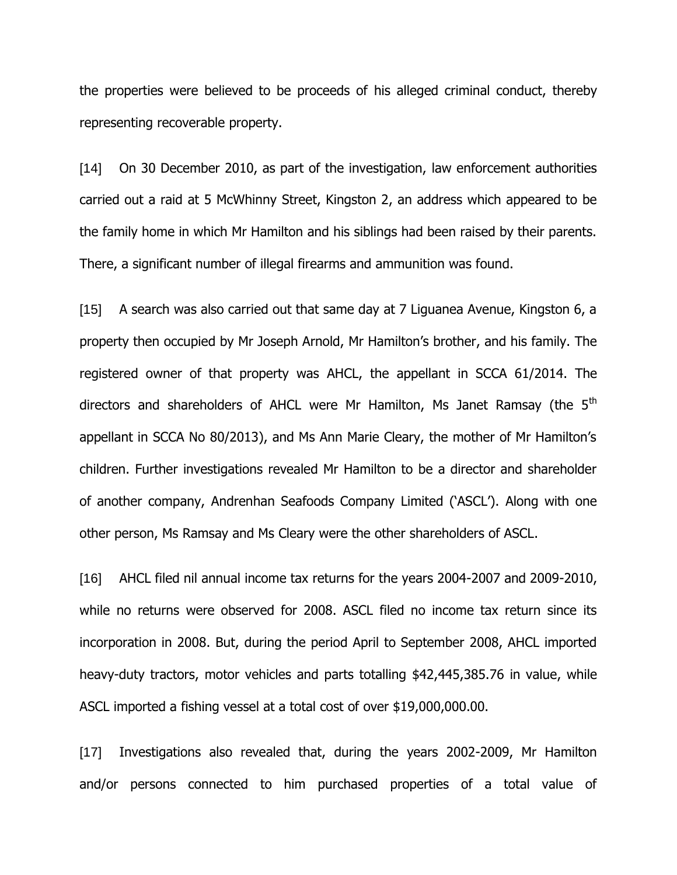the properties were believed to be proceeds of his alleged criminal conduct, thereby representing recoverable property.

[14] On 30 December 2010, as part of the investigation, law enforcement authorities carried out a raid at 5 McWhinny Street, Kingston 2, an address which appeared to be the family home in which Mr Hamilton and his siblings had been raised by their parents. There, a significant number of illegal firearms and ammunition was found.

[15] A search was also carried out that same day at 7 Liguanea Avenue, Kingston 6, a property then occupied by Mr Joseph Arnold, Mr Hamilton"s brother, and his family. The registered owner of that property was AHCL, the appellant in SCCA 61/2014. The directors and shareholders of AHCL were Mr Hamilton, Ms Janet Ramsay (the 5<sup>th</sup> appellant in SCCA No 80/2013), and Ms Ann Marie Cleary, the mother of Mr Hamilton"s children. Further investigations revealed Mr Hamilton to be a director and shareholder of another company, Andrenhan Seafoods Company Limited ("ASCL"). Along with one other person, Ms Ramsay and Ms Cleary were the other shareholders of ASCL.

[16] AHCL filed nil annual income tax returns for the years 2004-2007 and 2009-2010, while no returns were observed for 2008. ASCL filed no income tax return since its incorporation in 2008. But, during the period April to September 2008, AHCL imported heavy-duty tractors, motor vehicles and parts totalling \$42,445,385.76 in value, while ASCL imported a fishing vessel at a total cost of over \$19,000,000.00.

[17] Investigations also revealed that, during the years 2002-2009, Mr Hamilton and/or persons connected to him purchased properties of a total value of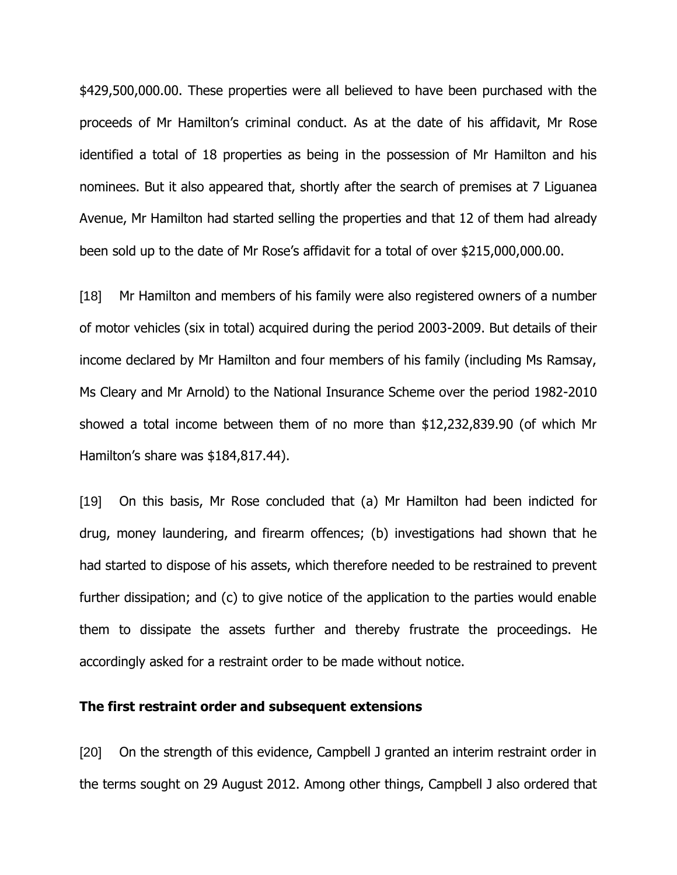\$429,500,000.00. These properties were all believed to have been purchased with the proceeds of Mr Hamilton"s criminal conduct. As at the date of his affidavit, Mr Rose identified a total of 18 properties as being in the possession of Mr Hamilton and his nominees. But it also appeared that, shortly after the search of premises at 7 Liguanea Avenue, Mr Hamilton had started selling the properties and that 12 of them had already been sold up to the date of Mr Rose's affidavit for a total of over \$215,000,000.00.

[18] Mr Hamilton and members of his family were also registered owners of a number of motor vehicles (six in total) acquired during the period 2003-2009. But details of their income declared by Mr Hamilton and four members of his family (including Ms Ramsay, Ms Cleary and Mr Arnold) to the National Insurance Scheme over the period 1982-2010 showed a total income between them of no more than \$12,232,839.90 (of which Mr Hamilton's share was \$184,817.44).

[19] On this basis, Mr Rose concluded that (a) Mr Hamilton had been indicted for drug, money laundering, and firearm offences; (b) investigations had shown that he had started to dispose of his assets, which therefore needed to be restrained to prevent further dissipation; and (c) to give notice of the application to the parties would enable them to dissipate the assets further and thereby frustrate the proceedings. He accordingly asked for a restraint order to be made without notice.

#### **The first restraint order and subsequent extensions**

[20] On the strength of this evidence, Campbell J granted an interim restraint order in the terms sought on 29 August 2012. Among other things, Campbell J also ordered that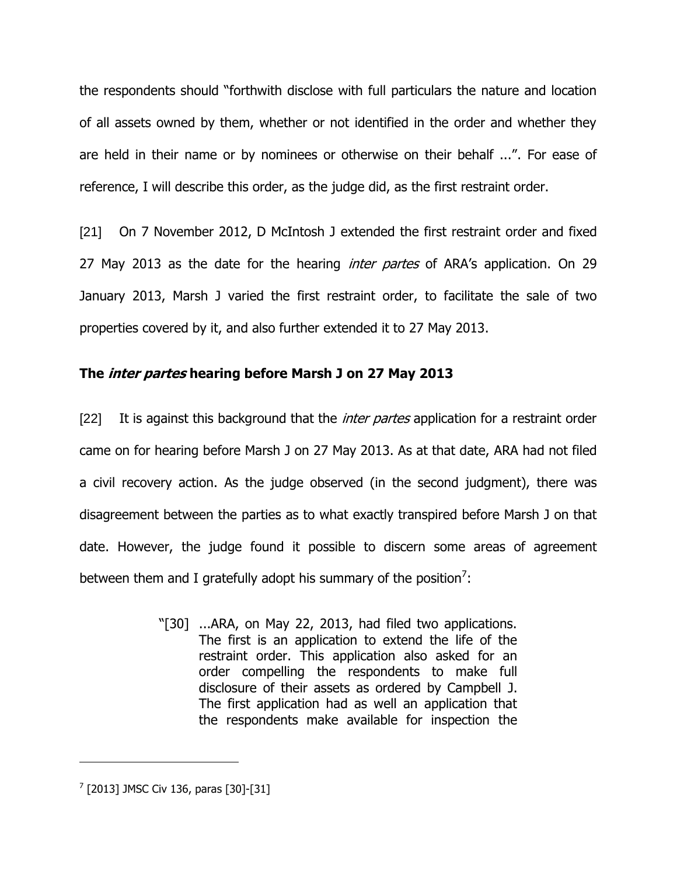the respondents should "forthwith disclose with full particulars the nature and location of all assets owned by them, whether or not identified in the order and whether they are held in their name or by nominees or otherwise on their behalf ...". For ease of reference, I will describe this order, as the judge did, as the first restraint order.

[21] On 7 November 2012, D McIntosh J extended the first restraint order and fixed 27 May 2013 as the date for the hearing *inter partes* of ARA's application. On 29 January 2013, Marsh J varied the first restraint order, to facilitate the sale of two properties covered by it, and also further extended it to 27 May 2013.

# **The inter partes hearing before Marsh J on 27 May 2013**

[22] It is against this background that the *inter partes* application for a restraint order came on for hearing before Marsh J on 27 May 2013. As at that date, ARA had not filed a civil recovery action. As the judge observed (in the second judgment), there was disagreement between the parties as to what exactly transpired before Marsh J on that date. However, the judge found it possible to discern some areas of agreement between them and I gratefully adopt his summary of the position<sup>7</sup>:

> "[30] ...ARA, on May 22, 2013, had filed two applications. The first is an application to extend the life of the restraint order. This application also asked for an order compelling the respondents to make full disclosure of their assets as ordered by Campbell J. The first application had as well an application that the respondents make available for inspection the

 $^{7}$  [2013] JMSC Civ 136, paras [30]-[31]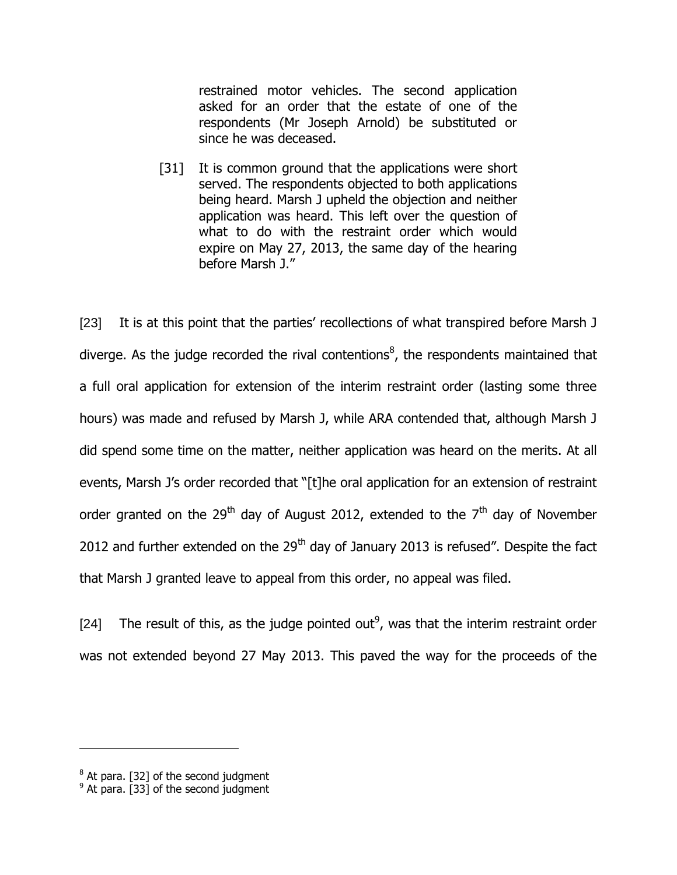restrained motor vehicles. The second application asked for an order that the estate of one of the respondents (Mr Joseph Arnold) be substituted or since he was deceased.

[31] It is common ground that the applications were short served. The respondents objected to both applications being heard. Marsh J upheld the objection and neither application was heard. This left over the question of what to do with the restraint order which would expire on May 27, 2013, the same day of the hearing before Marsh J."

[23] It is at this point that the parties' recollections of what transpired before Marsh J diverge. As the judge recorded the rival contentions<sup>8</sup>, the respondents maintained that a full oral application for extension of the interim restraint order (lasting some three hours) was made and refused by Marsh J, while ARA contended that, although Marsh J did spend some time on the matter, neither application was heard on the merits. At all events, Marsh J's order recorded that "[t]he oral application for an extension of restraint order granted on the 29<sup>th</sup> day of August 2012, extended to the  $7<sup>th</sup>$  day of November 2012 and further extended on the  $29<sup>th</sup>$  day of January 2013 is refused". Despite the fact that Marsh J granted leave to appeal from this order, no appeal was filed.

[24] The result of this, as the judge pointed out<sup>9</sup>, was that the interim restraint order was not extended beyond 27 May 2013. This paved the way for the proceeds of the

 $^8$  At para. [32] of the second judgment

 $<sup>9</sup>$  At para. [33] of the second judgment</sup>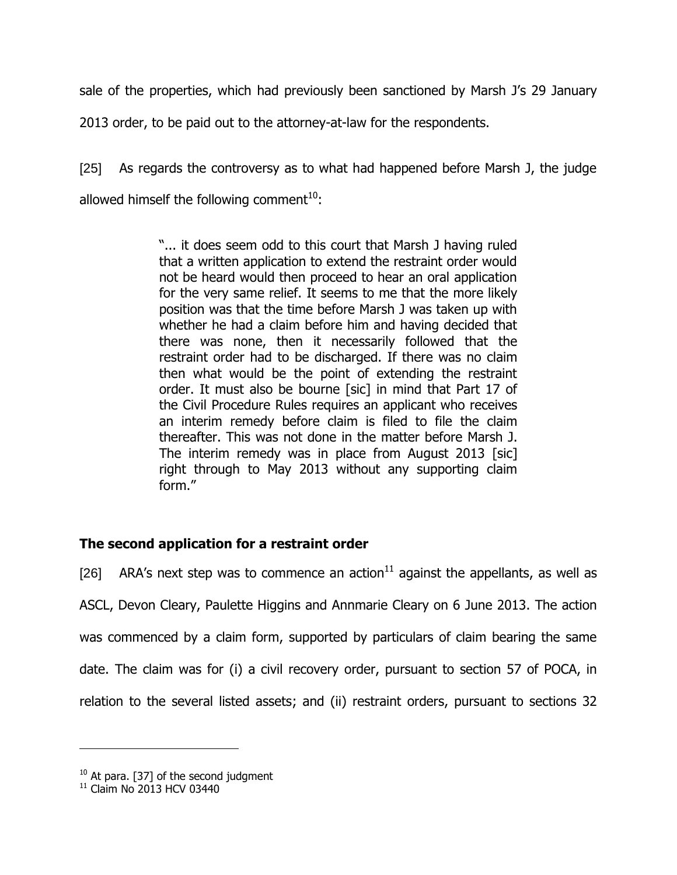sale of the properties, which had previously been sanctioned by Marsh J's 29 January

2013 order, to be paid out to the attorney-at-law for the respondents.

[25] As regards the controversy as to what had happened before Marsh J, the judge allowed himself the following comment<sup>10</sup>:

> "... it does seem odd to this court that Marsh J having ruled that a written application to extend the restraint order would not be heard would then proceed to hear an oral application for the very same relief. It seems to me that the more likely position was that the time before Marsh J was taken up with whether he had a claim before him and having decided that there was none, then it necessarily followed that the restraint order had to be discharged. If there was no claim then what would be the point of extending the restraint order. It must also be bourne [sic] in mind that Part 17 of the Civil Procedure Rules requires an applicant who receives an interim remedy before claim is filed to file the claim thereafter. This was not done in the matter before Marsh J. The interim remedy was in place from August 2013 [sic] right through to May 2013 without any supporting claim form."

# **The second application for a restraint order**

[26] ARA's next step was to commence an action<sup>11</sup> against the appellants, as well as ASCL, Devon Cleary, Paulette Higgins and Annmarie Cleary on 6 June 2013. The action was commenced by a claim form, supported by particulars of claim bearing the same date. The claim was for (i) a civil recovery order, pursuant to section 57 of POCA, in relation to the several listed assets; and (ii) restraint orders, pursuant to sections 32

 $10$  At para. [37] of the second judgment

 $11$  Claim No 2013 HCV 03440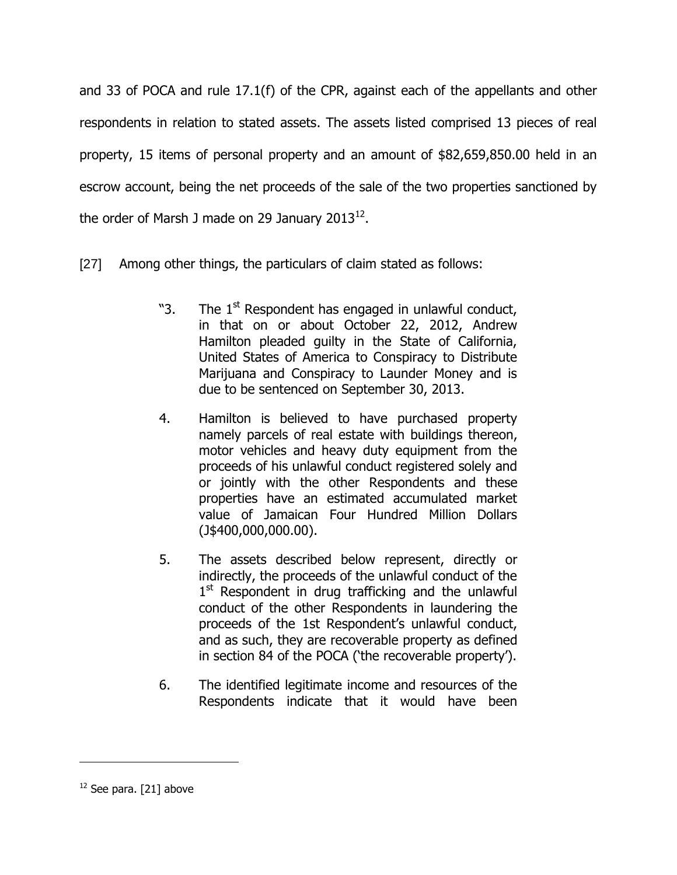and 33 of POCA and rule 17.1(f) of the CPR, against each of the appellants and other respondents in relation to stated assets. The assets listed comprised 13 pieces of real property, 15 items of personal property and an amount of \$82,659,850.00 held in an escrow account, being the net proceeds of the sale of the two properties sanctioned by the order of Marsh J made on 29 January 2013 $^{12}$ .

- [27] Among other things, the particulars of claim stated as follows:
	- "3. The  $1<sup>st</sup>$  Respondent has engaged in unlawful conduct, in that on or about October 22, 2012, Andrew Hamilton pleaded guilty in the State of California, United States of America to Conspiracy to Distribute Marijuana and Conspiracy to Launder Money and is due to be sentenced on September 30, 2013.
	- 4. Hamilton is believed to have purchased property namely parcels of real estate with buildings thereon, motor vehicles and heavy duty equipment from the proceeds of his unlawful conduct registered solely and or jointly with the other Respondents and these properties have an estimated accumulated market value of Jamaican Four Hundred Million Dollars (J\$400,000,000.00).
	- 5. The assets described below represent, directly or indirectly, the proceeds of the unlawful conduct of the 1<sup>st</sup> Respondent in drug trafficking and the unlawful conduct of the other Respondents in laundering the proceeds of the 1st Respondent"s unlawful conduct, and as such, they are recoverable property as defined in section 84 of the POCA ('the recoverable property').
	- 6. The identified legitimate income and resources of the Respondents indicate that it would have been

 $12$  See para. [21] above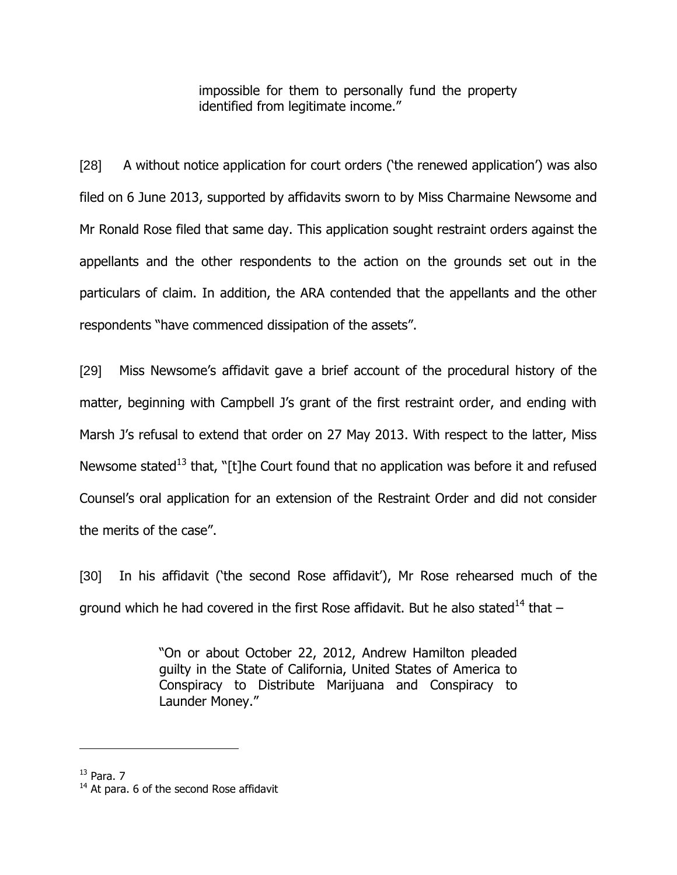impossible for them to personally fund the property identified from legitimate income."

[28] A without notice application for court orders ('the renewed application') was also filed on 6 June 2013, supported by affidavits sworn to by Miss Charmaine Newsome and Mr Ronald Rose filed that same day. This application sought restraint orders against the appellants and the other respondents to the action on the grounds set out in the particulars of claim. In addition, the ARA contended that the appellants and the other respondents "have commenced dissipation of the assets".

[29] Miss Newsome's affidavit gave a brief account of the procedural history of the matter, beginning with Campbell J's grant of the first restraint order, and ending with Marsh J"s refusal to extend that order on 27 May 2013. With respect to the latter, Miss Newsome stated<sup>13</sup> that, "[t]he Court found that no application was before it and refused Counsel"s oral application for an extension of the Restraint Order and did not consider the merits of the case".

[30] In his affidavit ('the second Rose affidavit'), Mr Rose rehearsed much of the ground which he had covered in the first Rose affidavit. But he also stated<sup>14</sup> that  $-$ 

> "On or about October 22, 2012, Andrew Hamilton pleaded guilty in the State of California, United States of America to Conspiracy to Distribute Marijuana and Conspiracy to Launder Money."

 $13$  Para. 7

 $14$  At para. 6 of the second Rose affidavit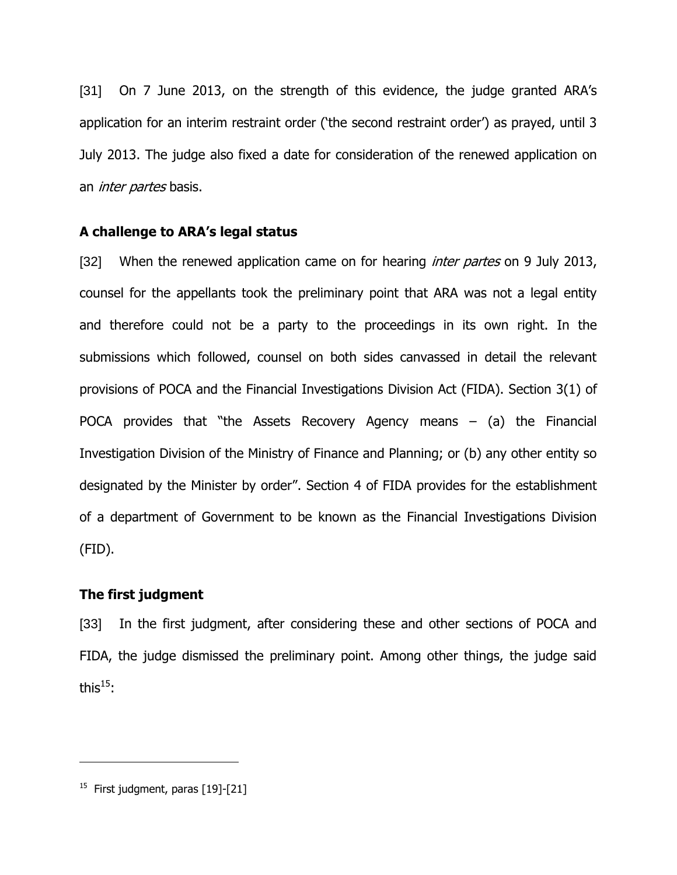[31] On 7 June 2013, on the strength of this evidence, the judge granted ARA"s application for an interim restraint order ('the second restraint order') as prayed, until 3 July 2013. The judge also fixed a date for consideration of the renewed application on an *inter partes* basis.

### **A challenge to ARA's legal status**

[32] When the renewed application came on for hearing *inter partes* on 9 July 2013, counsel for the appellants took the preliminary point that ARA was not a legal entity and therefore could not be a party to the proceedings in its own right. In the submissions which followed, counsel on both sides canvassed in detail the relevant provisions of POCA and the Financial Investigations Division Act (FIDA). Section 3(1) of POCA provides that "the Assets Recovery Agency means  $-$  (a) the Financial Investigation Division of the Ministry of Finance and Planning; or (b) any other entity so designated by the Minister by order". Section 4 of FIDA provides for the establishment of a department of Government to be known as the Financial Investigations Division (FID).

### **The first judgment**

[33] In the first judgment, after considering these and other sections of POCA and FIDA, the judge dismissed the preliminary point. Among other things, the judge said this $^{15}$ :

 $^{15}$  First judgment, paras [19]-[21]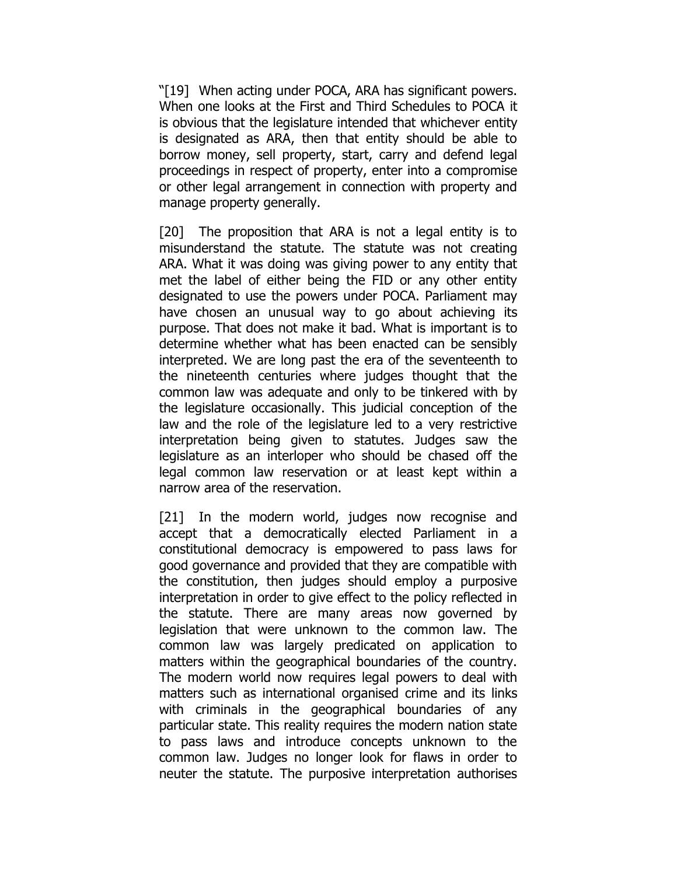"[19] When acting under POCA, ARA has significant powers. When one looks at the First and Third Schedules to POCA it is obvious that the legislature intended that whichever entity is designated as ARA, then that entity should be able to borrow money, sell property, start, carry and defend legal proceedings in respect of property, enter into a compromise or other legal arrangement in connection with property and manage property generally.

[20] The proposition that ARA is not a legal entity is to misunderstand the statute. The statute was not creating ARA. What it was doing was giving power to any entity that met the label of either being the FID or any other entity designated to use the powers under POCA. Parliament may have chosen an unusual way to go about achieving its purpose. That does not make it bad. What is important is to determine whether what has been enacted can be sensibly interpreted. We are long past the era of the seventeenth to the nineteenth centuries where judges thought that the common law was adequate and only to be tinkered with by the legislature occasionally. This judicial conception of the law and the role of the legislature led to a very restrictive interpretation being given to statutes. Judges saw the legislature as an interloper who should be chased off the legal common law reservation or at least kept within a narrow area of the reservation.

[21] In the modern world, judges now recognise and accept that a democratically elected Parliament in a constitutional democracy is empowered to pass laws for good governance and provided that they are compatible with the constitution, then judges should employ a purposive interpretation in order to give effect to the policy reflected in the statute. There are many areas now governed by legislation that were unknown to the common law. The common law was largely predicated on application to matters within the geographical boundaries of the country. The modern world now requires legal powers to deal with matters such as international organised crime and its links with criminals in the geographical boundaries of any particular state. This reality requires the modern nation state to pass laws and introduce concepts unknown to the common law. Judges no longer look for flaws in order to neuter the statute. The purposive interpretation authorises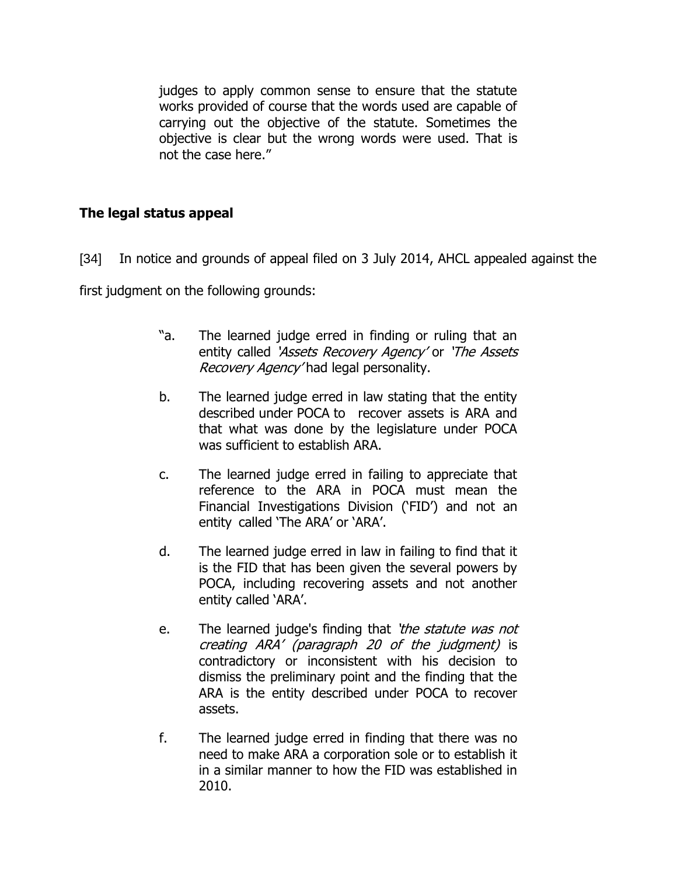judges to apply common sense to ensure that the statute works provided of course that the words used are capable of carrying out the objective of the statute. Sometimes the objective is clear but the wrong words were used. That is not the case here."

# **The legal status appeal**

[34] In notice and grounds of appeal filed on 3 July 2014, AHCL appealed against the

first judgment on the following grounds:

- "a. The learned judge erred in finding or ruling that an entity called 'Assets Recovery Agency' or 'The Assets' Recovery Agency' had legal personality.
- b. The learned judge erred in law stating that the entity described under POCA to recover assets is ARA and that what was done by the legislature under POCA was sufficient to establish ARA.
- c. The learned judge erred in failing to appreciate that reference to the ARA in POCA must mean the Financial Investigations Division ("FID") and not an entity called 'The ARA' or 'ARA'.
- d. The learned judge erred in law in failing to find that it is the FID that has been given the several powers by POCA, including recovering assets and not another entity called 'ARA'.
- e. The learned judge's finding that 'the statute was not creating ARA" (paragraph 20 of the judgment) is contradictory or inconsistent with his decision to dismiss the preliminary point and the finding that the ARA is the entity described under POCA to recover assets.
- f. The learned judge erred in finding that there was no need to make ARA a corporation sole or to establish it in a similar manner to how the FID was established in 2010.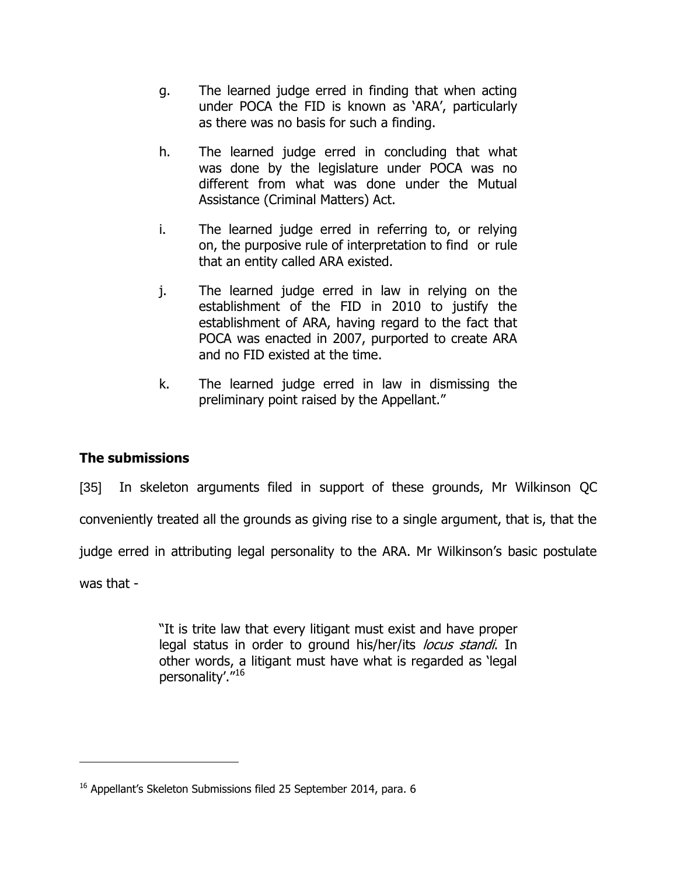- g. The learned judge erred in finding that when acting under POCA the FID is known as 'ARA', particularly as there was no basis for such a finding.
- h. The learned judge erred in concluding that what was done by the legislature under POCA was no different from what was done under the Mutual Assistance (Criminal Matters) Act.
- i. The learned judge erred in referring to, or relying on, the purposive rule of interpretation to find or rule that an entity called ARA existed.
- j. The learned judge erred in law in relying on the establishment of the FID in 2010 to justify the establishment of ARA, having regard to the fact that POCA was enacted in 2007, purported to create ARA and no FID existed at the time.
- k. The learned judge erred in law in dismissing the preliminary point raised by the Appellant."

# **The submissions**

[35] In skeleton arguments filed in support of these grounds, Mr Wilkinson QC

conveniently treated all the grounds as giving rise to a single argument, that is, that the

judge erred in attributing legal personality to the ARA. Mr Wilkinson's basic postulate

was that -

 $\overline{a}$ 

"It is trite law that every litigant must exist and have proper legal status in order to ground his/her/its *locus standi*. In other words, a litigant must have what is regarded as "legal personality'.<sup>"16</sup>

 $16$  Appellant's Skeleton Submissions filed 25 September 2014, para. 6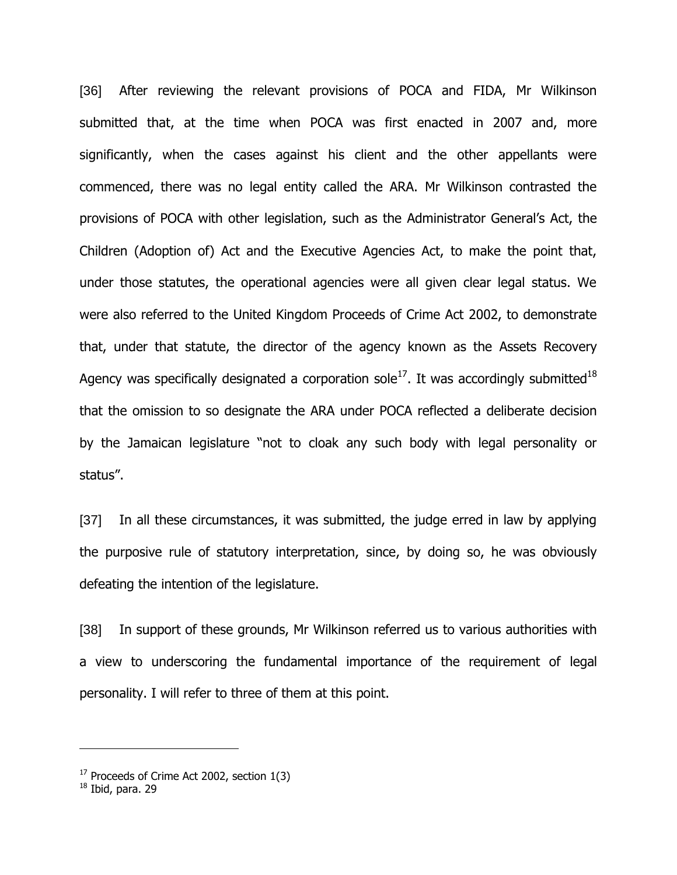[36] After reviewing the relevant provisions of POCA and FIDA, Mr Wilkinson submitted that, at the time when POCA was first enacted in 2007 and, more significantly, when the cases against his client and the other appellants were commenced, there was no legal entity called the ARA. Mr Wilkinson contrasted the provisions of POCA with other legislation, such as the Administrator General"s Act, the Children (Adoption of) Act and the Executive Agencies Act, to make the point that, under those statutes, the operational agencies were all given clear legal status. We were also referred to the United Kingdom Proceeds of Crime Act 2002, to demonstrate that, under that statute, the director of the agency known as the Assets Recovery Agency was specifically designated a corporation sole $^{17}$ . It was accordingly submitted $^{18}$ that the omission to so designate the ARA under POCA reflected a deliberate decision by the Jamaican legislature "not to cloak any such body with legal personality or status".

[37] In all these circumstances, it was submitted, the judge erred in law by applying the purposive rule of statutory interpretation, since, by doing so, he was obviously defeating the intention of the legislature.

[38] In support of these grounds, Mr Wilkinson referred us to various authorities with a view to underscoring the fundamental importance of the requirement of legal personality. I will refer to three of them at this point.

 $17$  Proceeds of Crime Act 2002, section  $1(3)$ 

 $18$  Ibid, para. 29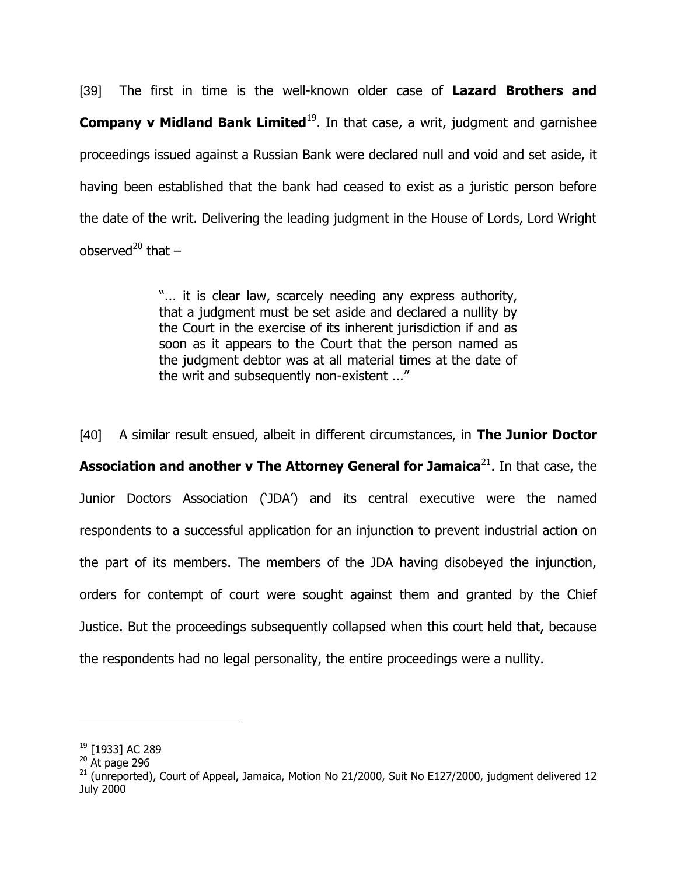[39] The first in time is the well-known older case of **Lazard Brothers and Company v Midland Bank Limited**<sup>19</sup>. In that case, a writ, judgment and garnishee proceedings issued against a Russian Bank were declared null and void and set aside, it having been established that the bank had ceased to exist as a juristic person before the date of the writ. Delivering the leading judgment in the House of Lords, Lord Wright observed<sup>20</sup> that  $-$ 

> "... it is clear law, scarcely needing any express authority, that a judgment must be set aside and declared a nullity by the Court in the exercise of its inherent jurisdiction if and as soon as it appears to the Court that the person named as the judgment debtor was at all material times at the date of the writ and subsequently non-existent ..."

[40] A similar result ensued, albeit in different circumstances, in **The Junior Doctor Association and another v The Attorney General for Jamaica**<sup>21</sup>. In that case, the Junior Doctors Association ("JDA") and its central executive were the named respondents to a successful application for an injunction to prevent industrial action on the part of its members. The members of the JDA having disobeyed the injunction, orders for contempt of court were sought against them and granted by the Chief Justice. But the proceedings subsequently collapsed when this court held that, because the respondents had no legal personality, the entire proceedings were a nullity.

<sup>19</sup> [1933] AC 289

 $20$  At page 296

 $^{21}$  (unreported), Court of Appeal, Jamaica, Motion No 21/2000, Suit No E127/2000, judgment delivered 12 July 2000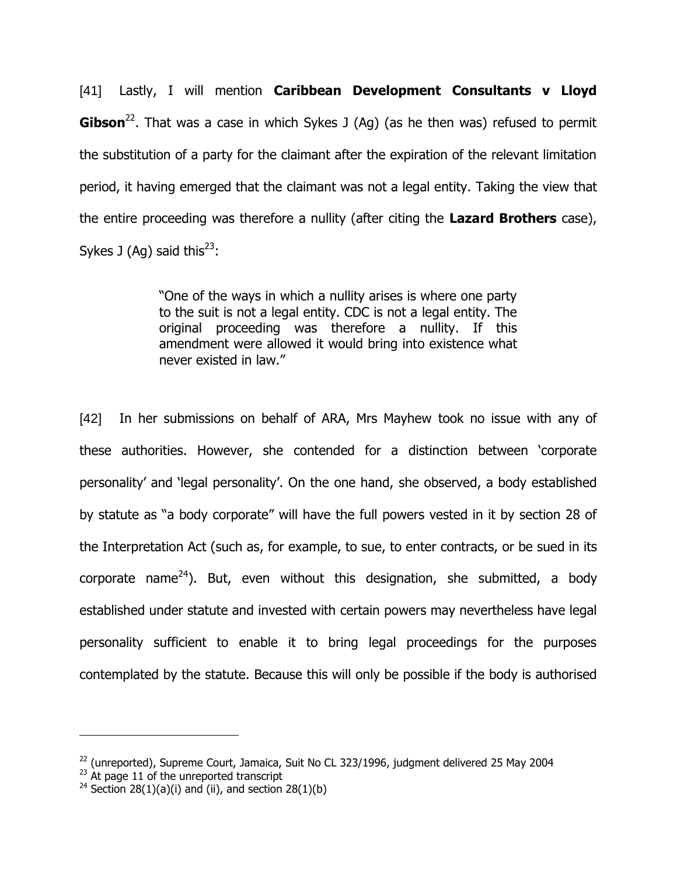[41] Lastly, I will mention **Caribbean Development Consultants v Lloyd Gibson**<sup>22</sup>. That was a case in which Sykes J (Ag) (as he then was) refused to permit the substitution of a party for the claimant after the expiration of the relevant limitation period, it having emerged that the claimant was not a legal entity. Taking the view that the entire proceeding was therefore a nullity (after citing the **Lazard Brothers** case), Sykes J (Ag) said this<sup>23</sup>:

> "One of the ways in which a nullity arises is where one party to the suit is not a legal entity. CDC is not a legal entity. The original proceeding was therefore a nullity. If this amendment were allowed it would bring into existence what never existed in law."

[42] In her submissions on behalf of ARA, Mrs Mayhew took no issue with any of these authorities. However, she contended for a distinction between "corporate personality" and "legal personality". On the one hand, she observed, a body established by statute as "a body corporate" will have the full powers vested in it by section 28 of the Interpretation Act (such as, for example, to sue, to enter contracts, or be sued in its corporate name<sup>24</sup>). But, even without this designation, she submitted, a body established under statute and invested with certain powers may nevertheless have legal personality sufficient to enable it to bring legal proceedings for the purposes contemplated by the statute. Because this will only be possible if the body is authorised

 $^{22}$  (unreported), Supreme Court, Jamaica, Suit No CL 323/1996, judgment delivered 25 May 2004

 $^{23}$  At page 11 of the unreported transcript

<sup>&</sup>lt;sup>24</sup> Section 28(1)(a)(i) and (ii), and section 28(1)(b)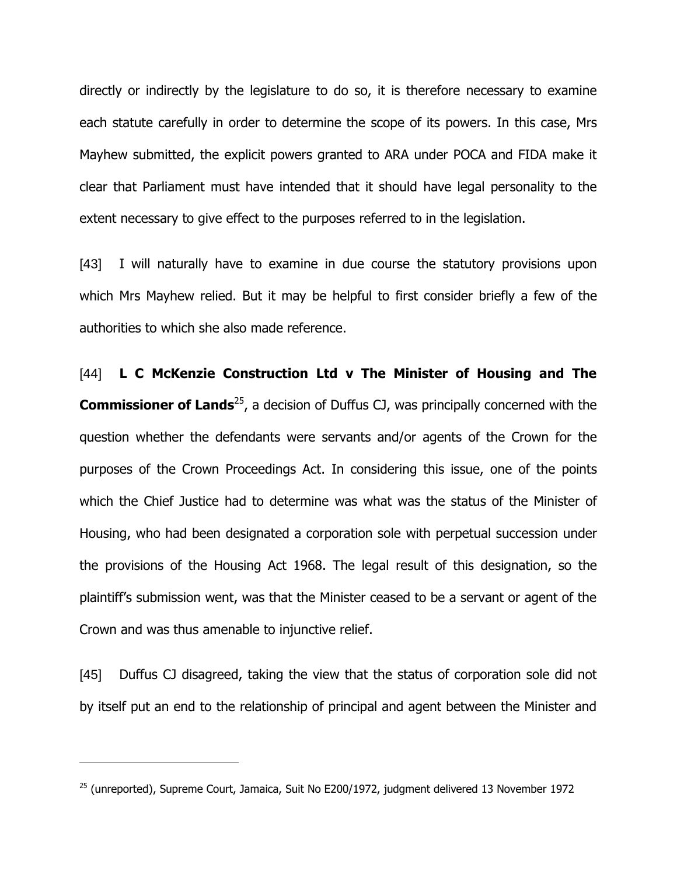directly or indirectly by the legislature to do so, it is therefore necessary to examine each statute carefully in order to determine the scope of its powers. In this case, Mrs Mayhew submitted, the explicit powers granted to ARA under POCA and FIDA make it clear that Parliament must have intended that it should have legal personality to the extent necessary to give effect to the purposes referred to in the legislation.

[43] I will naturally have to examine in due course the statutory provisions upon which Mrs Mayhew relied. But it may be helpful to first consider briefly a few of the authorities to which she also made reference.

[44] **L C McKenzie Construction Ltd v The Minister of Housing and The Commissioner of Lands**<sup>25</sup>, a decision of Duffus CJ, was principally concerned with the question whether the defendants were servants and/or agents of the Crown for the purposes of the Crown Proceedings Act. In considering this issue, one of the points which the Chief Justice had to determine was what was the status of the Minister of Housing, who had been designated a corporation sole with perpetual succession under the provisions of the Housing Act 1968. The legal result of this designation, so the plaintiff"s submission went, was that the Minister ceased to be a servant or agent of the Crown and was thus amenable to injunctive relief.

[45] Duffus CJ disagreed, taking the view that the status of corporation sole did not by itself put an end to the relationship of principal and agent between the Minister and

 $25$  (unreported), Supreme Court, Jamaica, Suit No E200/1972, judgment delivered 13 November 1972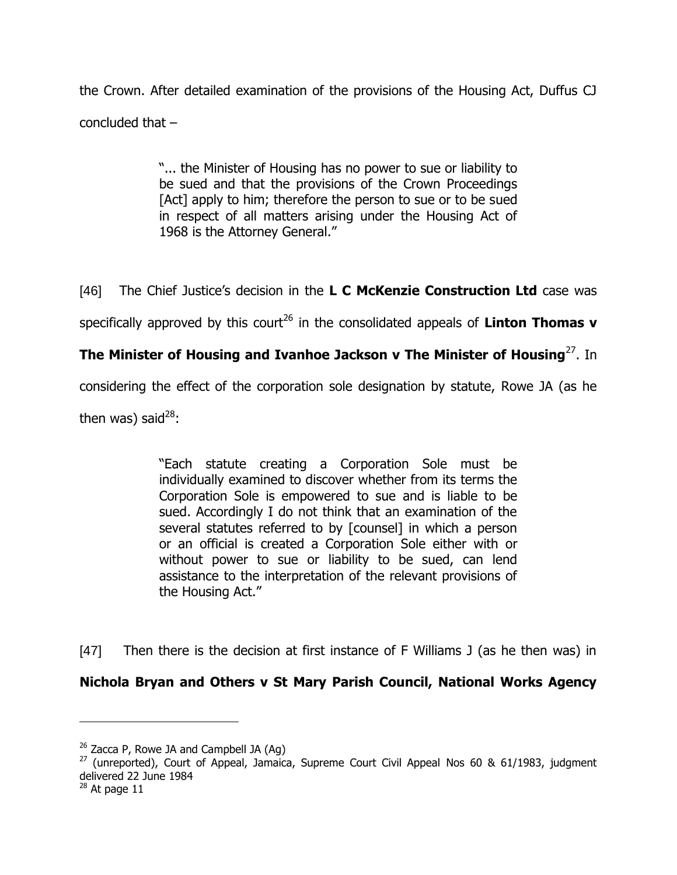the Crown. After detailed examination of the provisions of the Housing Act, Duffus CJ concluded that –

> "... the Minister of Housing has no power to sue or liability to be sued and that the provisions of the Crown Proceedings [Act] apply to him; therefore the person to sue or to be sued in respect of all matters arising under the Housing Act of 1968 is the Attorney General."

[46] The Chief Justice"s decision in the **L C McKenzie Construction Ltd** case was

specifically approved by this court<sup>26</sup> in the consolidated appeals of **Linton Thomas v** 

# **The Minister of Housing and Ivanhoe Jackson v The Minister of Housing**<sup>27</sup>. In

considering the effect of the corporation sole designation by statute, Rowe JA (as he

then was) said $^{28}$ :

"Each statute creating a Corporation Sole must be individually examined to discover whether from its terms the Corporation Sole is empowered to sue and is liable to be sued. Accordingly I do not think that an examination of the several statutes referred to by [counsel] in which a person or an official is created a Corporation Sole either with or without power to sue or liability to be sued, can lend assistance to the interpretation of the relevant provisions of the Housing Act."

[47] Then there is the decision at first instance of F Williams J (as he then was) in

# **Nichola Bryan and Others v St Mary Parish Council, National Works Agency**

 $26$  Zacca P, Rowe JA and Campbell JA (Aq)

 $27$  (unreported), Court of Appeal, Jamaica, Supreme Court Civil Appeal Nos 60 & 61/1983, judgment delivered 22 June 1984

 $28$  At page 11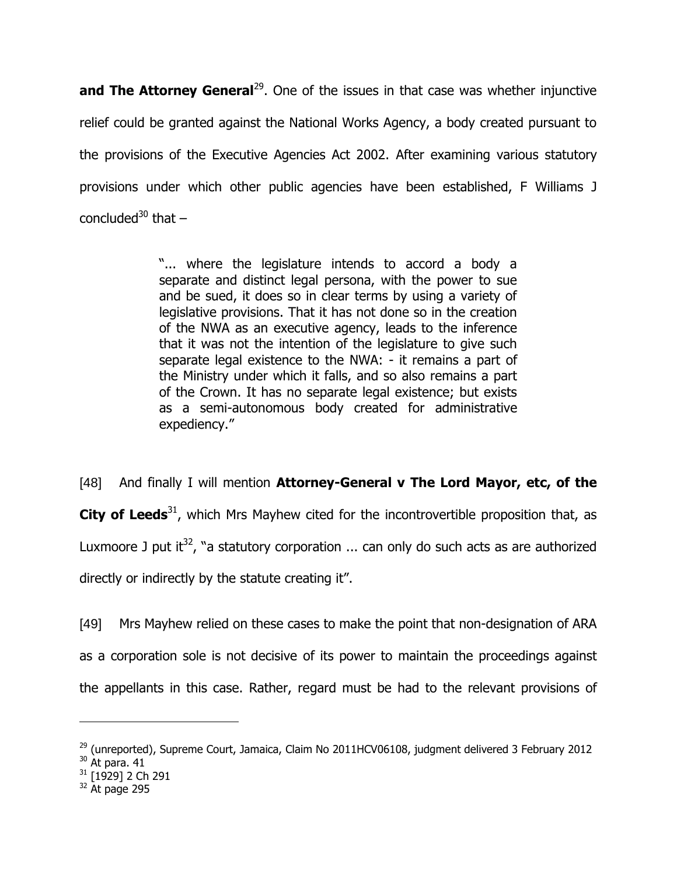**and The Attorney General**<sup>29</sup>. One of the issues in that case was whether injunctive relief could be granted against the National Works Agency, a body created pursuant to the provisions of the Executive Agencies Act 2002. After examining various statutory provisions under which other public agencies have been established, F Williams J concluded<sup>30</sup> that  $-$ 

> "... where the legislature intends to accord a body a separate and distinct legal persona, with the power to sue and be sued, it does so in clear terms by using a variety of legislative provisions. That it has not done so in the creation of the NWA as an executive agency, leads to the inference that it was not the intention of the legislature to give such separate legal existence to the NWA: - it remains a part of the Ministry under which it falls, and so also remains a part of the Crown. It has no separate legal existence; but exists as a semi-autonomous body created for administrative expediency."

[48] And finally I will mention **Attorney-General v The Lord Mayor, etc, of the City of Leeds**<sup>31</sup>, which Mrs Mayhew cited for the incontrovertible proposition that, as Luxmoore J put it<sup>32</sup>, "a statutory corporation ... can only do such acts as are authorized directly or indirectly by the statute creating it".

[49] Mrs Mayhew relied on these cases to make the point that non-designation of ARA as a corporation sole is not decisive of its power to maintain the proceedings against the appellants in this case. Rather, regard must be had to the relevant provisions of

 $29$  (unreported), Supreme Court, Jamaica, Claim No 2011HCV06108, judgment delivered 3 February 2012

 $30$  At para. 41

 $31$  [1929] 2 Ch 291

 $32$  At page 295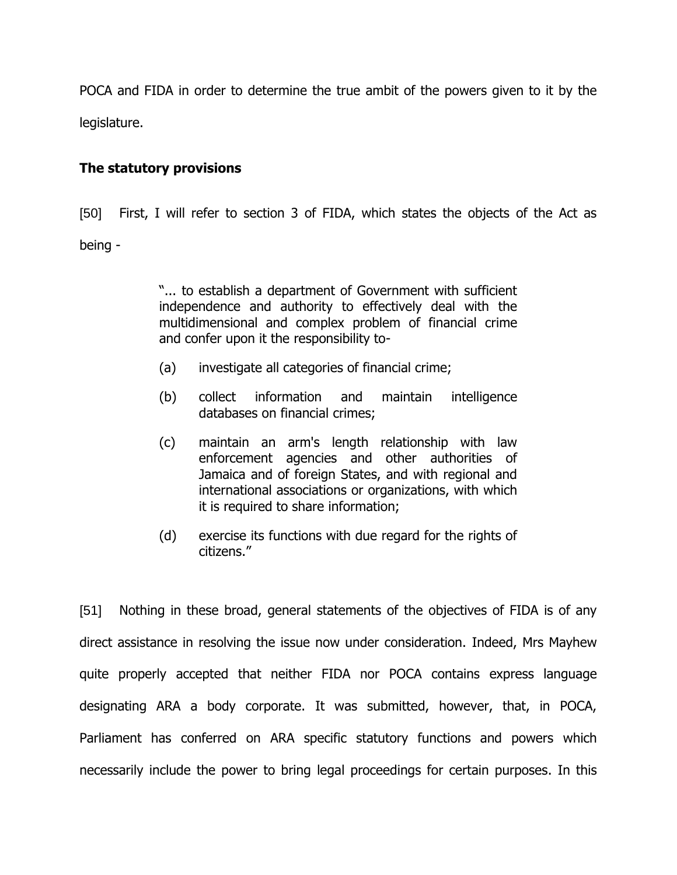POCA and FIDA in order to determine the true ambit of the powers given to it by the legislature.

# **The statutory provisions**

[50] First, I will refer to section 3 of FIDA, which states the objects of the Act as being -

> "... to establish a department of Government with sufficient independence and authority to effectively deal with the multidimensional and complex problem of financial crime and confer upon it the responsibility to-

- (a) investigate all categories of financial crime;
- (b) collect information and maintain intelligence databases on financial crimes;
- (c) maintain an arm's length relationship with law enforcement agencies and other authorities of Jamaica and of foreign States, and with regional and international associations or organizations, with which it is required to share information;
- (d) exercise its functions with due regard for the rights of citizens."

[51] Nothing in these broad, general statements of the objectives of FIDA is of any direct assistance in resolving the issue now under consideration. Indeed, Mrs Mayhew quite properly accepted that neither FIDA nor POCA contains express language designating ARA a body corporate. It was submitted, however, that, in POCA, Parliament has conferred on ARA specific statutory functions and powers which necessarily include the power to bring legal proceedings for certain purposes. In this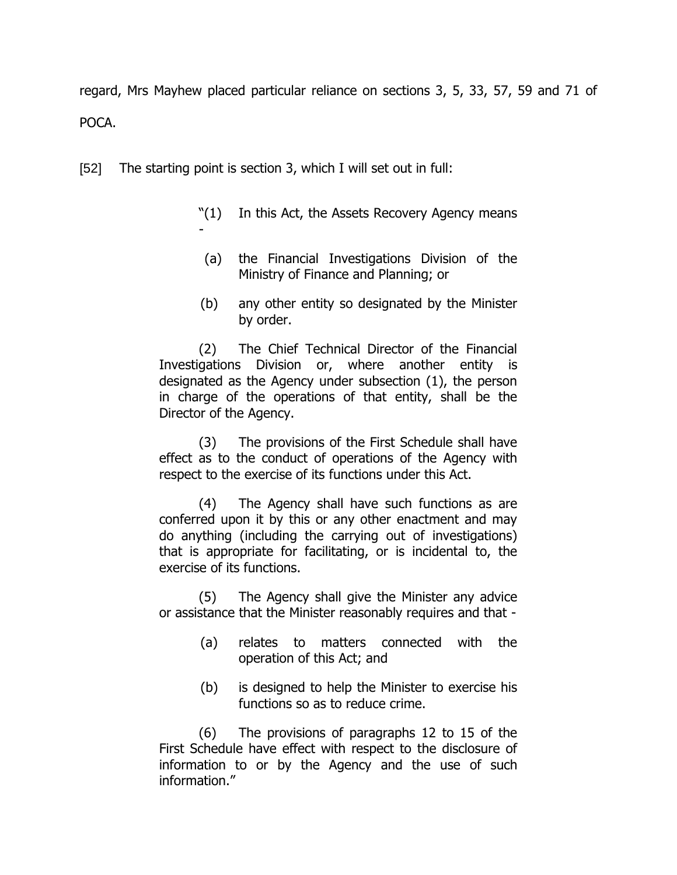regard, Mrs Mayhew placed particular reliance on sections 3, 5, 33, 57, 59 and 71 of POCA.

[52] The starting point is section 3, which I will set out in full:

- "(1) In this Act, the Assets Recovery Agency means -
- (a) the Financial Investigations Division of the Ministry of Finance and Planning; or
- (b) any other entity so designated by the Minister by order.

(2) The Chief Technical Director of the Financial Investigations Division or, where another entity is designated as the Agency under subsection (1), the person in charge of the operations of that entity, shall be the Director of the Agency.

(3) The provisions of the First Schedule shall have effect as to the conduct of operations of the Agency with respect to the exercise of its functions under this Act.

(4) The Agency shall have such functions as are conferred upon it by this or any other enactment and may do anything (including the carrying out of investigations) that is appropriate for facilitating, or is incidental to, the exercise of its functions.

(5) The Agency shall give the Minister any advice or assistance that the Minister reasonably requires and that -

- (a) relates to matters connected with the operation of this Act; and
- (b) is designed to help the Minister to exercise his functions so as to reduce crime.

(6) The provisions of paragraphs 12 to 15 of the First Schedule have effect with respect to the disclosure of information to or by the Agency and the use of such information."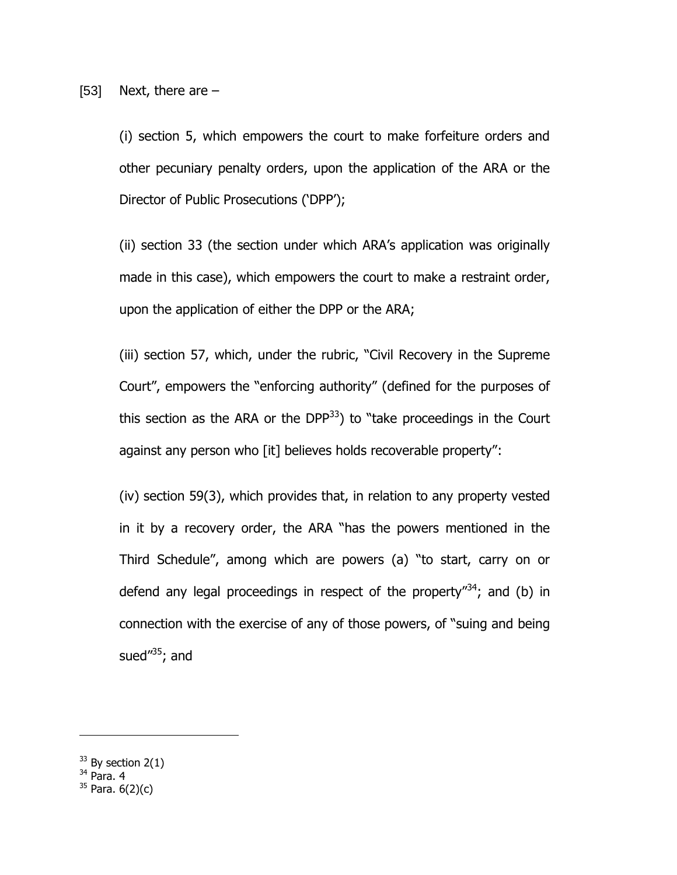(i) section 5, which empowers the court to make forfeiture orders and other pecuniary penalty orders, upon the application of the ARA or the Director of Public Prosecutions ("DPP");

(ii) section 33 (the section under which ARA"s application was originally made in this case), which empowers the court to make a restraint order, upon the application of either the DPP or the ARA;

(iii) section 57, which, under the rubric, "Civil Recovery in the Supreme Court", empowers the "enforcing authority" (defined for the purposes of this section as the ARA or the DPP $^{33}$ ) to "take proceedings in the Court against any person who [it] believes holds recoverable property":

(iv) section 59(3), which provides that, in relation to any property vested in it by a recovery order, the ARA "has the powers mentioned in the Third Schedule", among which are powers (a) "to start, carry on or defend any legal proceedings in respect of the property<sup> $34$ </sup>; and (b) in connection with the exercise of any of those powers, of "suing and being sued $1/35$ ; and

<sup>34</sup> Para. 4

 $33$  By section 2(1)

 $35$  Para.  $6(2)(c)$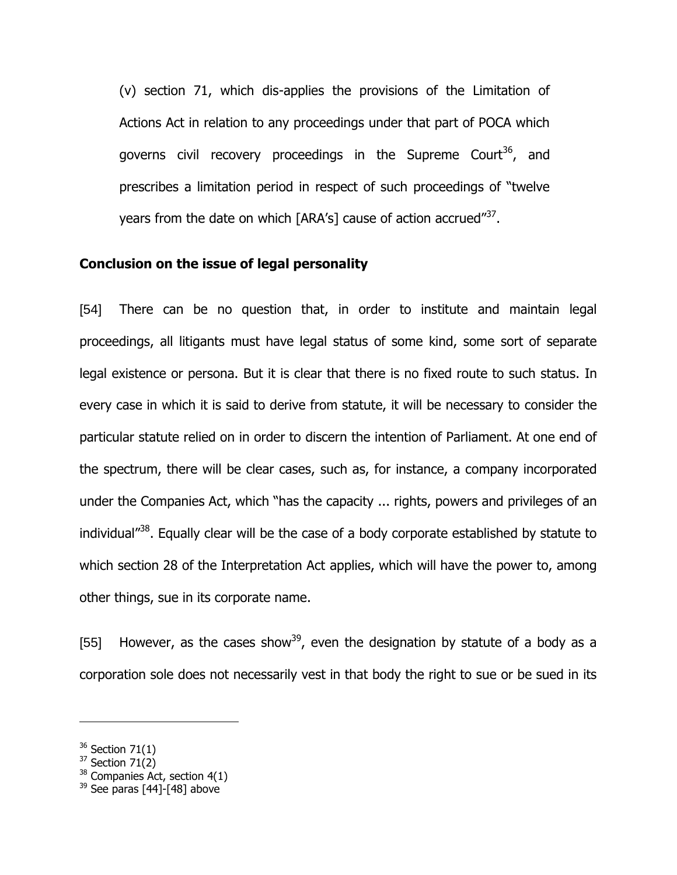(v) section 71, which dis-applies the provisions of the Limitation of Actions Act in relation to any proceedings under that part of POCA which governs civil recovery proceedings in the Supreme Court<sup>36</sup>, and prescribes a limitation period in respect of such proceedings of "twelve years from the date on which [ARA's] cause of action accrued"<sup>37</sup>.

#### **Conclusion on the issue of legal personality**

[54] There can be no question that, in order to institute and maintain legal proceedings, all litigants must have legal status of some kind, some sort of separate legal existence or persona. But it is clear that there is no fixed route to such status. In every case in which it is said to derive from statute, it will be necessary to consider the particular statute relied on in order to discern the intention of Parliament. At one end of the spectrum, there will be clear cases, such as, for instance, a company incorporated under the Companies Act, which "has the capacity ... rights, powers and privileges of an individual"<sup>38</sup>. Equally clear will be the case of a body corporate established by statute to which section 28 of the Interpretation Act applies, which will have the power to, among other things, sue in its corporate name.

[55] However, as the cases show<sup>39</sup>, even the designation by statute of a body as a corporation sole does not necessarily vest in that body the right to sue or be sued in its

 $36$  Section 71(1)

 $37$  Section 71(2)

 $38$  Companies Act, section 4(1)

 $39$  See paras [44]-[48] above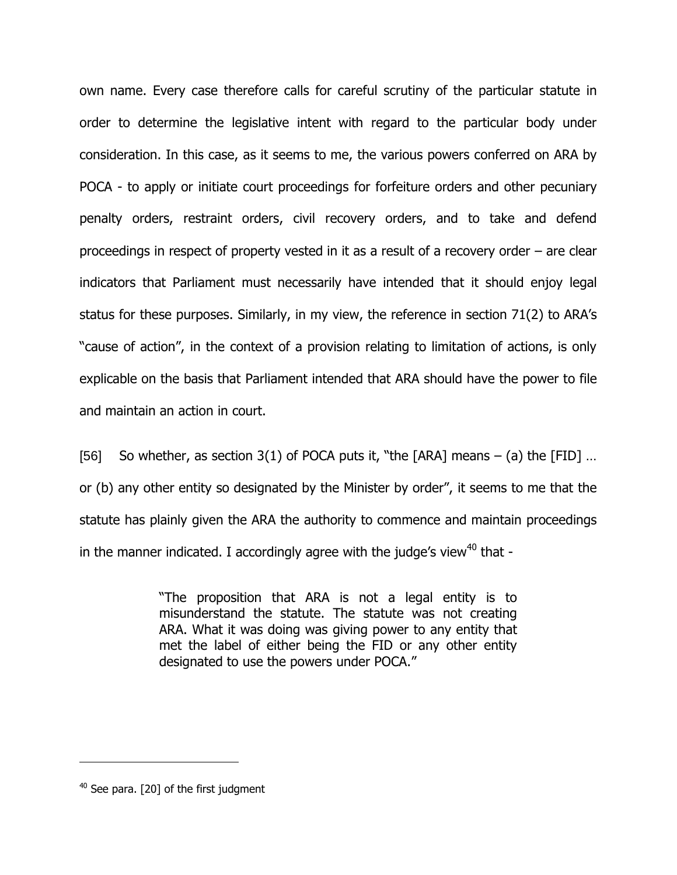own name. Every case therefore calls for careful scrutiny of the particular statute in order to determine the legislative intent with regard to the particular body under consideration. In this case, as it seems to me, the various powers conferred on ARA by POCA - to apply or initiate court proceedings for forfeiture orders and other pecuniary penalty orders, restraint orders, civil recovery orders, and to take and defend proceedings in respect of property vested in it as a result of a recovery order – are clear indicators that Parliament must necessarily have intended that it should enjoy legal status for these purposes. Similarly, in my view, the reference in section 71(2) to ARA"s "cause of action", in the context of a provision relating to limitation of actions, is only explicable on the basis that Parliament intended that ARA should have the power to file and maintain an action in court.

[56] So whether, as section 3(1) of POCA puts it, "the  $[ARA]$  means – (a) the  $[FID]$  ... or (b) any other entity so designated by the Minister by order", it seems to me that the statute has plainly given the ARA the authority to commence and maintain proceedings in the manner indicated. I accordingly agree with the judge's view<sup>40</sup> that -

> "The proposition that ARA is not a legal entity is to misunderstand the statute. The statute was not creating ARA. What it was doing was giving power to any entity that met the label of either being the FID or any other entity designated to use the powers under POCA."

 $40$  See para. [20] of the first judgment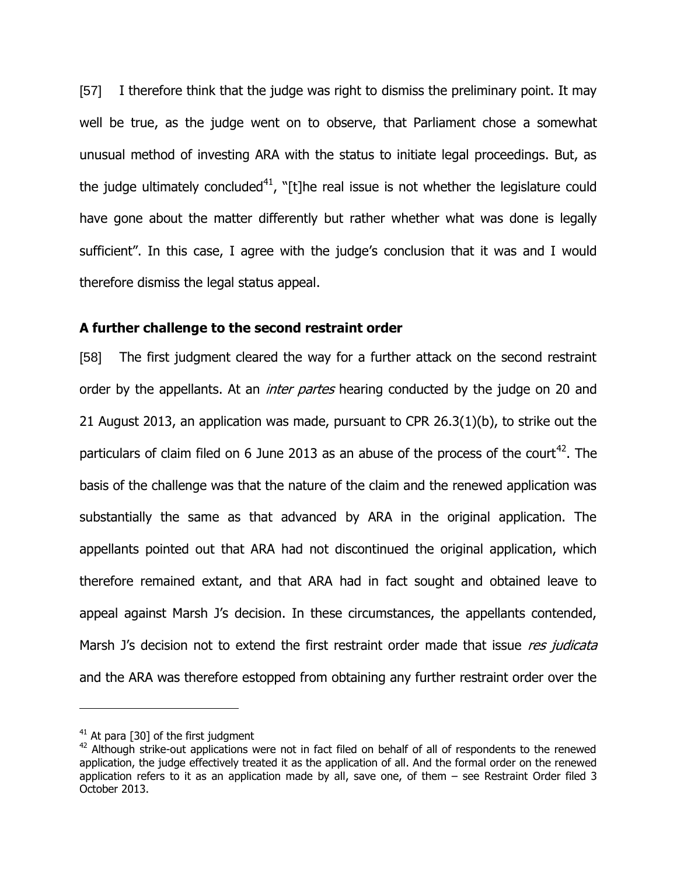[57] I therefore think that the judge was right to dismiss the preliminary point. It may well be true, as the judge went on to observe, that Parliament chose a somewhat unusual method of investing ARA with the status to initiate legal proceedings. But, as the judge ultimately concluded<sup>41</sup>, "[t]he real issue is not whether the legislature could have gone about the matter differently but rather whether what was done is legally sufficient". In this case, I agree with the judge's conclusion that it was and I would therefore dismiss the legal status appeal.

#### **A further challenge to the second restraint order**

[58] The first judgment cleared the way for a further attack on the second restraint order by the appellants. At an *inter partes* hearing conducted by the judge on 20 and 21 August 2013, an application was made, pursuant to CPR 26.3(1)(b), to strike out the particulars of claim filed on 6 June 2013 as an abuse of the process of the court<sup>42</sup>. The basis of the challenge was that the nature of the claim and the renewed application was substantially the same as that advanced by ARA in the original application. The appellants pointed out that ARA had not discontinued the original application, which therefore remained extant, and that ARA had in fact sought and obtained leave to appeal against Marsh J's decision. In these circumstances, the appellants contended, Marsh J's decision not to extend the first restraint order made that issue res judicata and the ARA was therefore estopped from obtaining any further restraint order over the

 $41$  At para [30] of the first judgment

 $42$  Although strike-out applications were not in fact filed on behalf of all of respondents to the renewed application, the judge effectively treated it as the application of all. And the formal order on the renewed application refers to it as an application made by all, save one, of them – see Restraint Order filed 3 October 2013.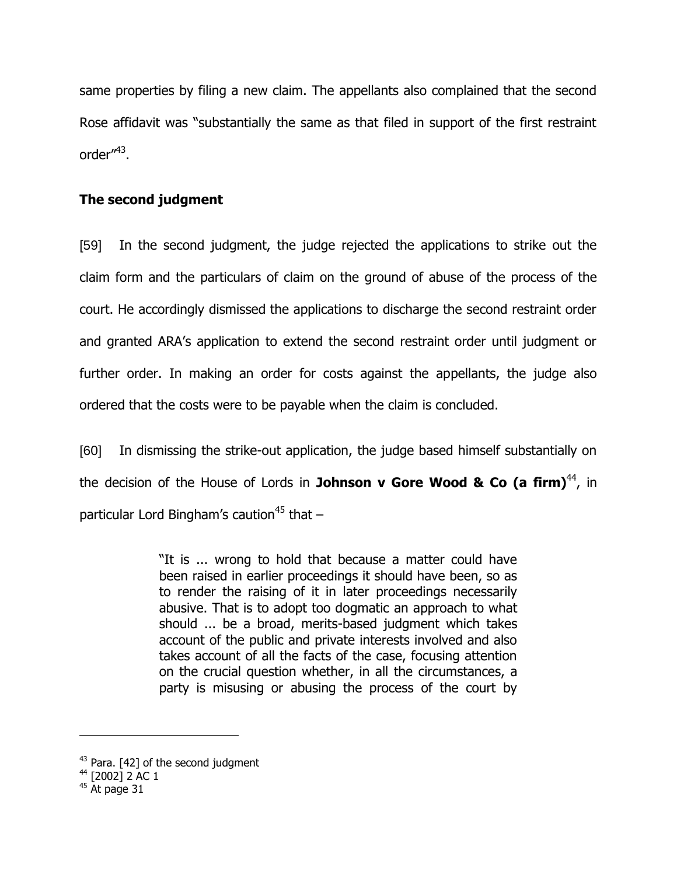same properties by filing a new claim. The appellants also complained that the second Rose affidavit was "substantially the same as that filed in support of the first restraint order′′<sup>43</sup>.

# **The second judgment**

[59] In the second judgment, the judge rejected the applications to strike out the claim form and the particulars of claim on the ground of abuse of the process of the court. He accordingly dismissed the applications to discharge the second restraint order and granted ARA"s application to extend the second restraint order until judgment or further order. In making an order for costs against the appellants, the judge also ordered that the costs were to be payable when the claim is concluded.

[60] In dismissing the strike-out application, the judge based himself substantially on the decision of the House of Lords in **Johnson v Gore Wood & Co (a firm)**<sup>44</sup>, in particular Lord Bingham's caution<sup>45</sup> that  $-$ 

> "It is ... wrong to hold that because a matter could have been raised in earlier proceedings it should have been, so as to render the raising of it in later proceedings necessarily abusive. That is to adopt too dogmatic an approach to what should ... be a broad, merits-based judgment which takes account of the public and private interests involved and also takes account of all the facts of the case, focusing attention on the crucial question whether, in all the circumstances, a party is misusing or abusing the process of the court by

<sup>&</sup>lt;sup>43</sup> Para. [42] of the second judgment

 $44$  [2002] 2 AC 1

 $45$  At page 31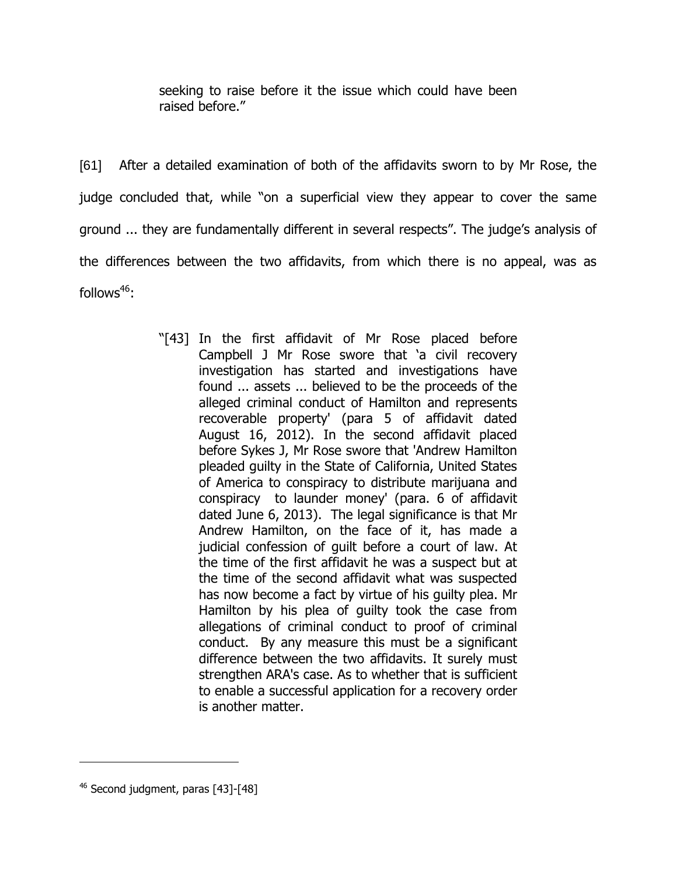seeking to raise before it the issue which could have been raised before."

[61] After a detailed examination of both of the affidavits sworn to by Mr Rose, the judge concluded that, while "on a superficial view they appear to cover the same ground ... they are fundamentally different in several respects". The judge's analysis of the differences between the two affidavits, from which there is no appeal, was as follows $46$ :

> "[43] In the first affidavit of Mr Rose placed before Campbell J Mr Rose swore that "a civil recovery investigation has started and investigations have found ... assets ... believed to be the proceeds of the alleged criminal conduct of Hamilton and represents recoverable property' (para 5 of affidavit dated August 16, 2012). In the second affidavit placed before Sykes J, Mr Rose swore that 'Andrew Hamilton pleaded guilty in the State of California, United States of America to conspiracy to distribute marijuana and conspiracy to launder money' (para. 6 of affidavit dated June 6, 2013). The legal significance is that Mr Andrew Hamilton, on the face of it, has made a judicial confession of guilt before a court of law. At the time of the first affidavit he was a suspect but at the time of the second affidavit what was suspected has now become a fact by virtue of his guilty plea. Mr Hamilton by his plea of guilty took the case from allegations of criminal conduct to proof of criminal conduct. By any measure this must be a significant difference between the two affidavits. It surely must strengthen ARA's case. As to whether that is sufficient to enable a successful application for a recovery order is another matter.

 $46$  Second judgment, paras [43]-[48]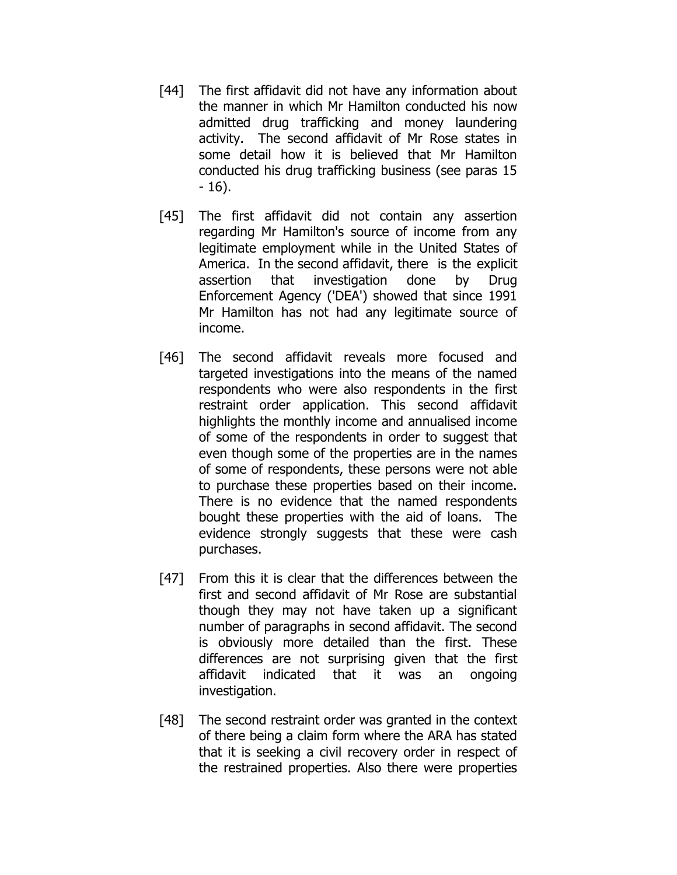- [44] The first affidavit did not have any information about the manner in which Mr Hamilton conducted his now admitted drug trafficking and money laundering activity. The second affidavit of Mr Rose states in some detail how it is believed that Mr Hamilton conducted his drug trafficking business (see paras 15 - 16).
- [45] The first affidavit did not contain any assertion regarding Mr Hamilton's source of income from any legitimate employment while in the United States of America. In the second affidavit, there is the explicit assertion that investigation done by Drug Enforcement Agency ('DEA') showed that since 1991 Mr Hamilton has not had any legitimate source of income.
- [46] The second affidavit reveals more focused and targeted investigations into the means of the named respondents who were also respondents in the first restraint order application. This second affidavit highlights the monthly income and annualised income of some of the respondents in order to suggest that even though some of the properties are in the names of some of respondents, these persons were not able to purchase these properties based on their income. There is no evidence that the named respondents bought these properties with the aid of loans. The evidence strongly suggests that these were cash purchases.
- [47] From this it is clear that the differences between the first and second affidavit of Mr Rose are substantial though they may not have taken up a significant number of paragraphs in second affidavit. The second is obviously more detailed than the first. These differences are not surprising given that the first affidavit indicated that it was an ongoing investigation.
- [48] The second restraint order was granted in the context of there being a claim form where the ARA has stated that it is seeking a civil recovery order in respect of the restrained properties. Also there were properties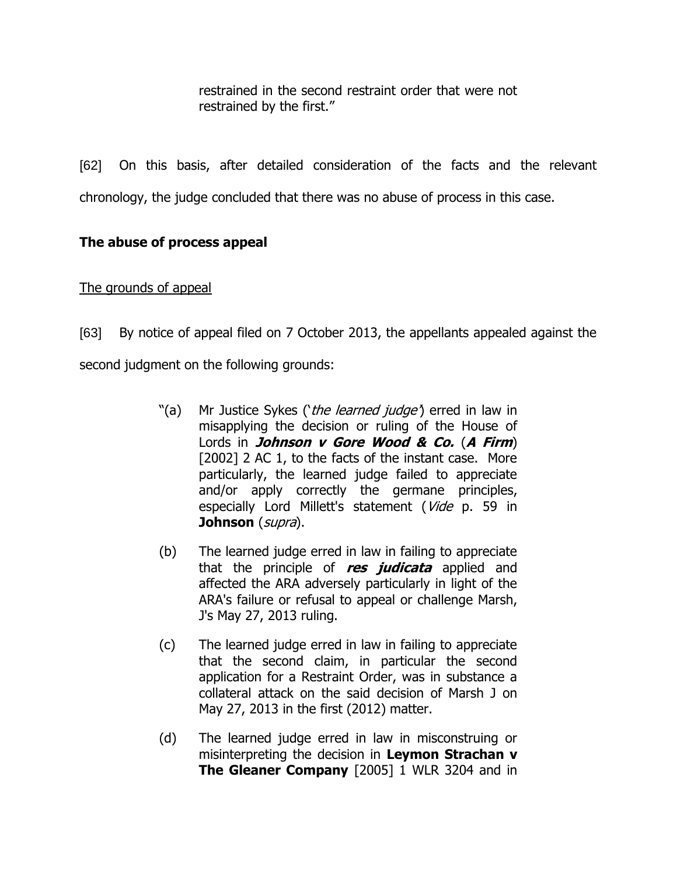restrained in the second restraint order that were not restrained by the first."

[62] On this basis, after detailed consideration of the facts and the relevant chronology, the judge concluded that there was no abuse of process in this case.

# **The abuse of process appeal**

# The grounds of appeal

- [63] By notice of appeal filed on 7 October 2013, the appellants appealed against the second judgment on the following grounds:
	- "(a) Mr Justice Sykes ('the learned judge') erred in law in misapplying the decision or ruling of the House of Lords in **Johnson v Gore Wood & Co.** (**A Firm**) [2002] 2 AC 1, to the facts of the instant case. More particularly, the learned judge failed to appreciate and/or apply correctly the germane principles, especially Lord Millett's statement (Vide p. 59 in **Johnson** (supra).
	- (b) The learned judge erred in law in failing to appreciate that the principle of **res judicata** applied and affected the ARA adversely particularly in light of the ARA's failure or refusal to appeal or challenge Marsh, J's May 27, 2013 ruling.
	- (c) The learned judge erred in law in failing to appreciate that the second claim, in particular the second application for a Restraint Order, was in substance a collateral attack on the said decision of Marsh J on May 27, 2013 in the first (2012) matter.
	- (d) The learned judge erred in law in misconstruing or misinterpreting the decision in **Leymon Strachan v The Gleaner Company** [2005] 1 WLR 3204 and in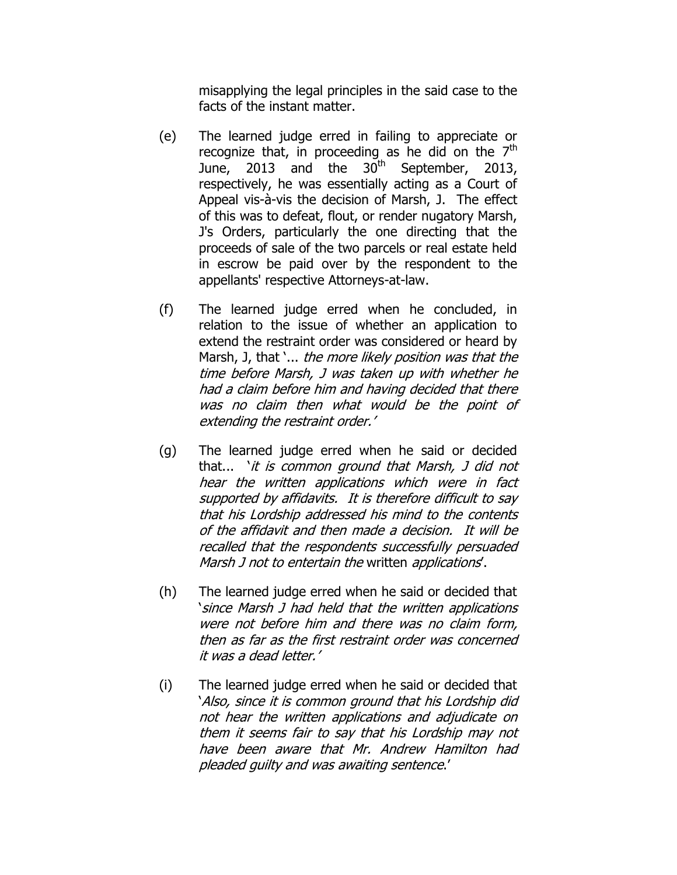misapplying the legal principles in the said case to the facts of the instant matter.

- (e) The learned judge erred in failing to appreciate or recognize that, in proceeding as he did on the  $7<sup>th</sup>$ June, 2013 and the  $30<sup>th</sup>$  September, 2013, respectively, he was essentially acting as a Court of Appeal vis-à-vis the decision of Marsh, J. The effect of this was to defeat, flout, or render nugatory Marsh, J's Orders, particularly the one directing that the proceeds of sale of the two parcels or real estate held in escrow be paid over by the respondent to the appellants' respective Attorneys-at-law.
- (f) The learned judge erred when he concluded, in relation to the issue of whether an application to extend the restraint order was considered or heard by Marsh, J, that '... the more likely position was that the time before Marsh, J was taken up with whether he had a claim before him and having decided that there was no claim then what would be the point of extending the restraint order.'
- (g) The learned judge erred when he said or decided that... ` it is common ground that Marsh, J did not hear the written applications which were in fact supported by affidavits. It is therefore difficult to say that his Lordship addressed his mind to the contents of the affidavit and then made a decision. It will be recalled that the respondents successfully persuaded Marsh J not to entertain the written applications.
- (h) The learned judge erred when he said or decided that "since Marsh J had held that the written applications were not before him and there was no claim form, then as far as the first restraint order was concerned it was a dead letter."
- (i) The learned judge erred when he said or decided that "Also, since it is common ground that his Lordship did not hear the written applications and adjudicate on them it seems fair to say that his Lordship may not have been aware that Mr. Andrew Hamilton had pleaded guilty and was awaiting sentence.'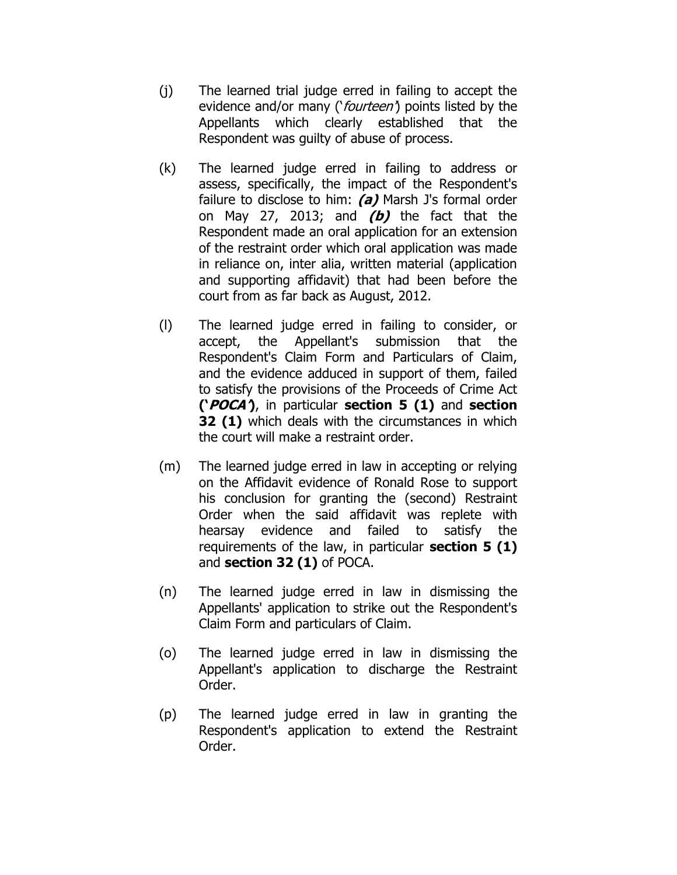- (j) The learned trial judge erred in failing to accept the evidence and/or many ('fourteen') points listed by the Appellants which clearly established that the Respondent was guilty of abuse of process.
- (k) The learned judge erred in failing to address or assess, specifically, the impact of the Respondent's failure to disclose to him: **(a)** Marsh J's formal order on May 27, 2013; and **(b)** the fact that the Respondent made an oral application for an extension of the restraint order which oral application was made in reliance on, inter alia, written material (application and supporting affidavit) that had been before the court from as far back as August, 2012.
- (l) The learned judge erred in failing to consider, or accept, the Appellant's submission that the Respondent's Claim Form and Particulars of Claim, and the evidence adduced in support of them, failed to satisfy the provisions of the Proceeds of Crime Act **('POCA')**, in particular **section 5 (1)** and **section 32 (1)** which deals with the circumstances in which the court will make a restraint order.
- (m) The learned judge erred in law in accepting or relying on the Affidavit evidence of Ronald Rose to support his conclusion for granting the (second) Restraint Order when the said affidavit was replete with hearsay evidence and failed to satisfy the requirements of the law, in particular **section 5 (1)** and **section 32 (1)** of POCA.
- (n) The learned judge erred in law in dismissing the Appellants' application to strike out the Respondent's Claim Form and particulars of Claim.
- (o) The learned judge erred in law in dismissing the Appellant's application to discharge the Restraint Order.
- (p) The learned judge erred in law in granting the Respondent's application to extend the Restraint Order.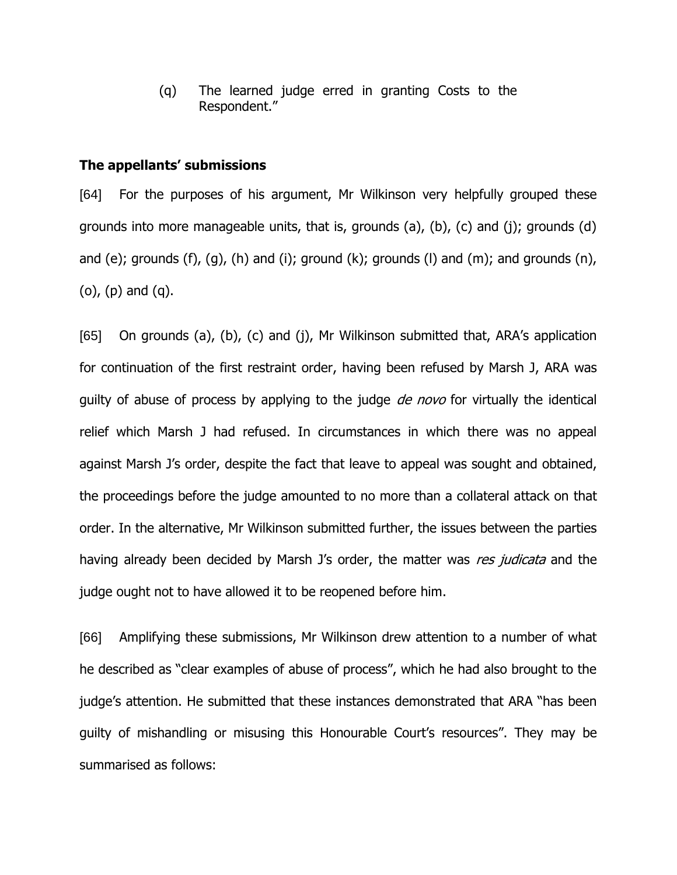(q) The learned judge erred in granting Costs to the Respondent."

### **The appellants' submissions**

[64] For the purposes of his argument, Mr Wilkinson very helpfully grouped these grounds into more manageable units, that is, grounds (a), (b), (c) and (j); grounds (d) and (e); grounds (f), (g), (h) and (i); ground (k); grounds (l) and (m); and grounds (n), (o), (p) and (q).

[65] On grounds (a), (b), (c) and (j), Mr Wilkinson submitted that, ARA"s application for continuation of the first restraint order, having been refused by Marsh J, ARA was guilty of abuse of process by applying to the judge *de novo* for virtually the identical relief which Marsh J had refused. In circumstances in which there was no appeal against Marsh J"s order, despite the fact that leave to appeal was sought and obtained, the proceedings before the judge amounted to no more than a collateral attack on that order. In the alternative, Mr Wilkinson submitted further, the issues between the parties having already been decided by Marsh J's order, the matter was res judicata and the judge ought not to have allowed it to be reopened before him.

[66] Amplifying these submissions, Mr Wilkinson drew attention to a number of what he described as "clear examples of abuse of process", which he had also brought to the judge"s attention. He submitted that these instances demonstrated that ARA "has been guilty of mishandling or misusing this Honourable Court"s resources". They may be summarised as follows: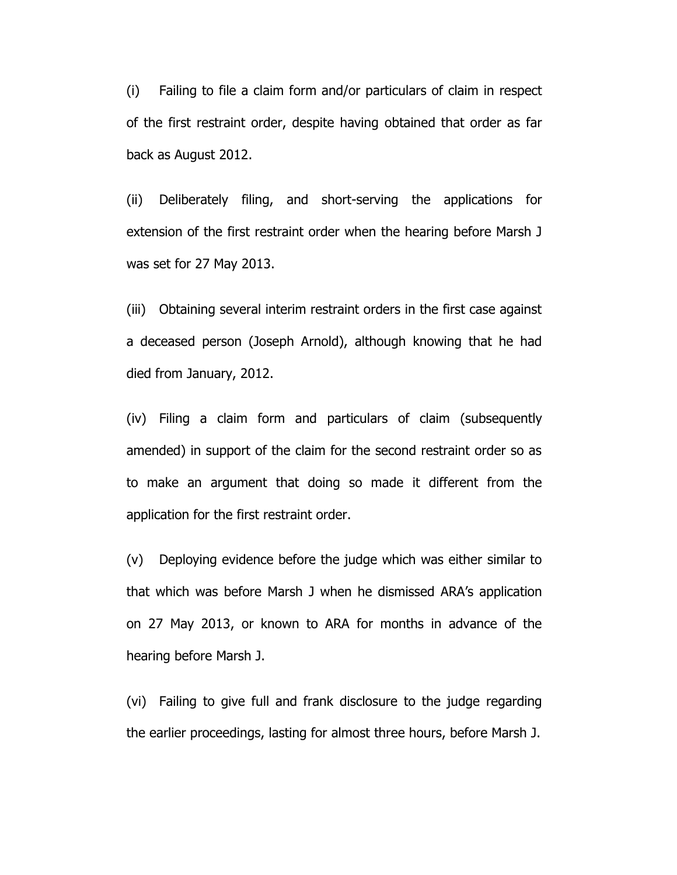(i) Failing to file a claim form and/or particulars of claim in respect of the first restraint order, despite having obtained that order as far back as August 2012.

(ii) Deliberately filing, and short-serving the applications for extension of the first restraint order when the hearing before Marsh J was set for 27 May 2013.

(iii) Obtaining several interim restraint orders in the first case against a deceased person (Joseph Arnold), although knowing that he had died from January, 2012.

(iv) Filing a claim form and particulars of claim (subsequently amended) in support of the claim for the second restraint order so as to make an argument that doing so made it different from the application for the first restraint order.

(v) Deploying evidence before the judge which was either similar to that which was before Marsh J when he dismissed ARA"s application on 27 May 2013, or known to ARA for months in advance of the hearing before Marsh J.

(vi) Failing to give full and frank disclosure to the judge regarding the earlier proceedings, lasting for almost three hours, before Marsh J.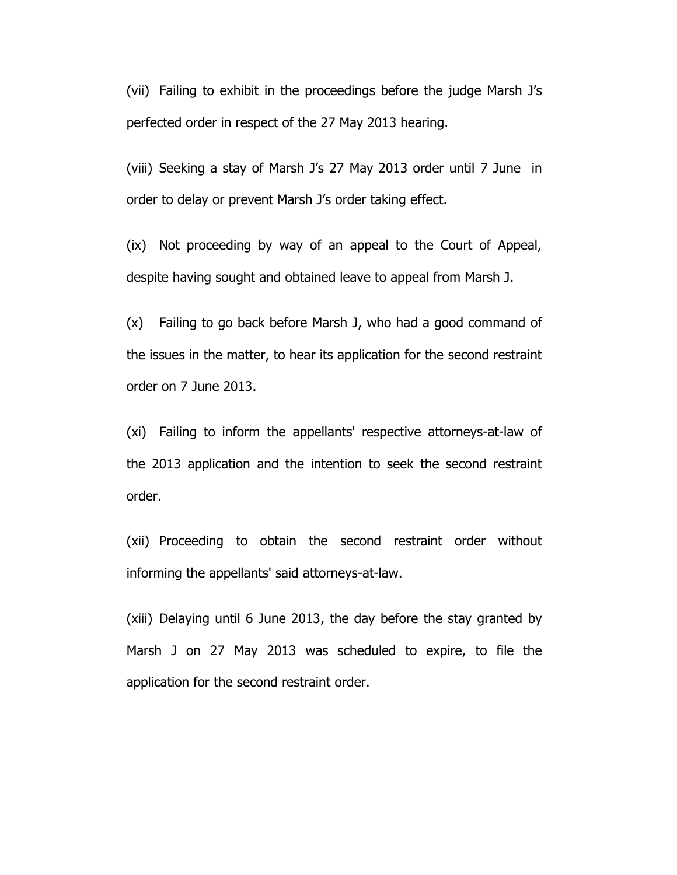(vii) Failing to exhibit in the proceedings before the judge Marsh J"s perfected order in respect of the 27 May 2013 hearing.

(viii) Seeking a stay of Marsh J's 27 May 2013 order until 7 June in order to delay or prevent Marsh J's order taking effect.

(ix) Not proceeding by way of an appeal to the Court of Appeal, despite having sought and obtained leave to appeal from Marsh J.

(x) Failing to go back before Marsh J, who had a good command of the issues in the matter, to hear its application for the second restraint order on 7 June 2013.

(xi) Failing to inform the appellants' respective attorneys-at-law of the 2013 application and the intention to seek the second restraint order.

(xii) Proceeding to obtain the second restraint order without informing the appellants' said attorneys-at-law.

(xiii) Delaying until 6 June 2013, the day before the stay granted by Marsh J on 27 May 2013 was scheduled to expire, to file the application for the second restraint order.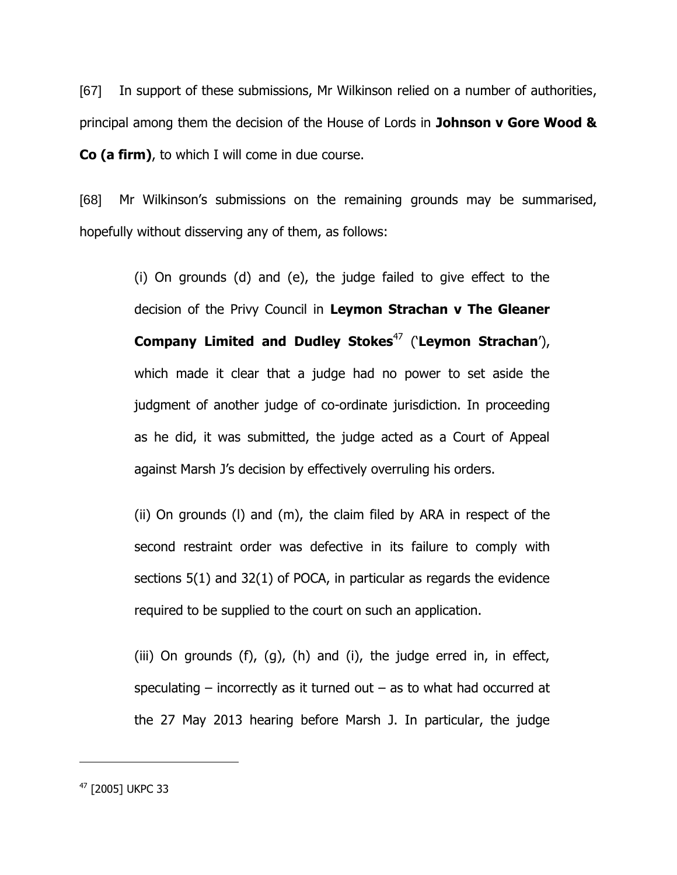[67] In support of these submissions, Mr Wilkinson relied on a number of authorities, principal among them the decision of the House of Lords in **Johnson v Gore Wood & Co (a firm)**, to which I will come in due course.

[68] Mr Wilkinson's submissions on the remaining grounds may be summarised, hopefully without disserving any of them, as follows:

> (i) On grounds (d) and (e), the judge failed to give effect to the decision of the Privy Council in **Leymon Strachan v The Gleaner Company Limited and Dudley Stokes**<sup>47</sup> ("**Leymon Strachan**"), which made it clear that a judge had no power to set aside the judgment of another judge of co-ordinate jurisdiction. In proceeding as he did, it was submitted, the judge acted as a Court of Appeal against Marsh J's decision by effectively overruling his orders.

> (ii) On grounds (l) and (m), the claim filed by ARA in respect of the second restraint order was defective in its failure to comply with sections 5(1) and 32(1) of POCA, in particular as regards the evidence required to be supplied to the court on such an application.

> (iii) On grounds  $(f)$ ,  $(g)$ ,  $(h)$  and  $(i)$ , the judge erred in, in effect, speculating – incorrectly as it turned out – as to what had occurred at the 27 May 2013 hearing before Marsh J. In particular, the judge

<sup>47</sup> [2005] UKPC 33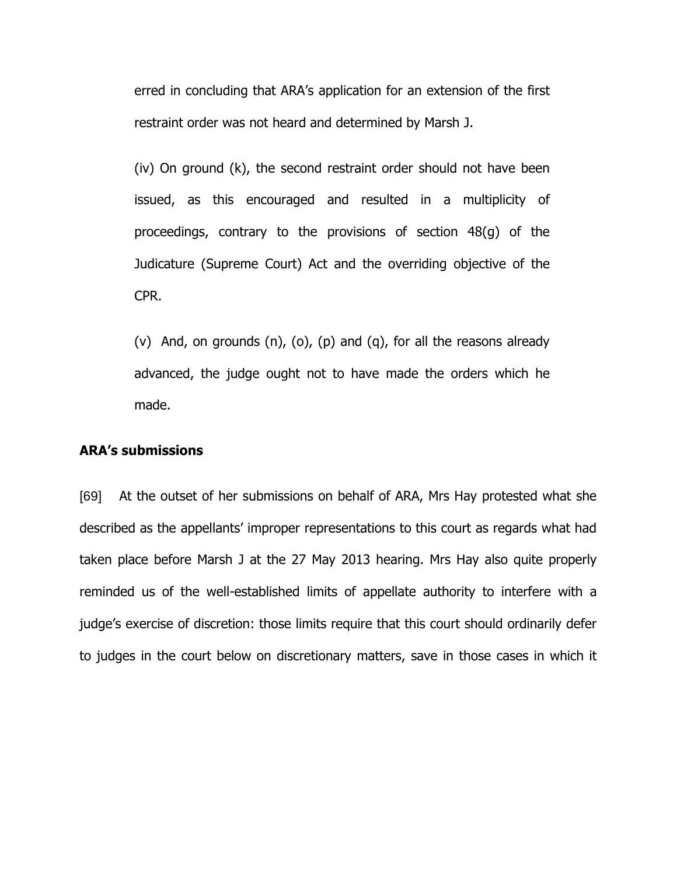erred in concluding that ARA"s application for an extension of the first restraint order was not heard and determined by Marsh J.

(iv) On ground (k), the second restraint order should not have been issued, as this encouraged and resulted in a multiplicity of proceedings, contrary to the provisions of section 48(g) of the Judicature (Supreme Court) Act and the overriding objective of the CPR.

(v) And, on grounds  $(n)$ ,  $(o)$ ,  $(p)$  and  $(q)$ , for all the reasons already advanced, the judge ought not to have made the orders which he made.

### **ARA's submissions**

[69] At the outset of her submissions on behalf of ARA, Mrs Hay protested what she described as the appellants" improper representations to this court as regards what had taken place before Marsh J at the 27 May 2013 hearing. Mrs Hay also quite properly reminded us of the well-established limits of appellate authority to interfere with a judge"s exercise of discretion: those limits require that this court should ordinarily defer to judges in the court below on discretionary matters, save in those cases in which it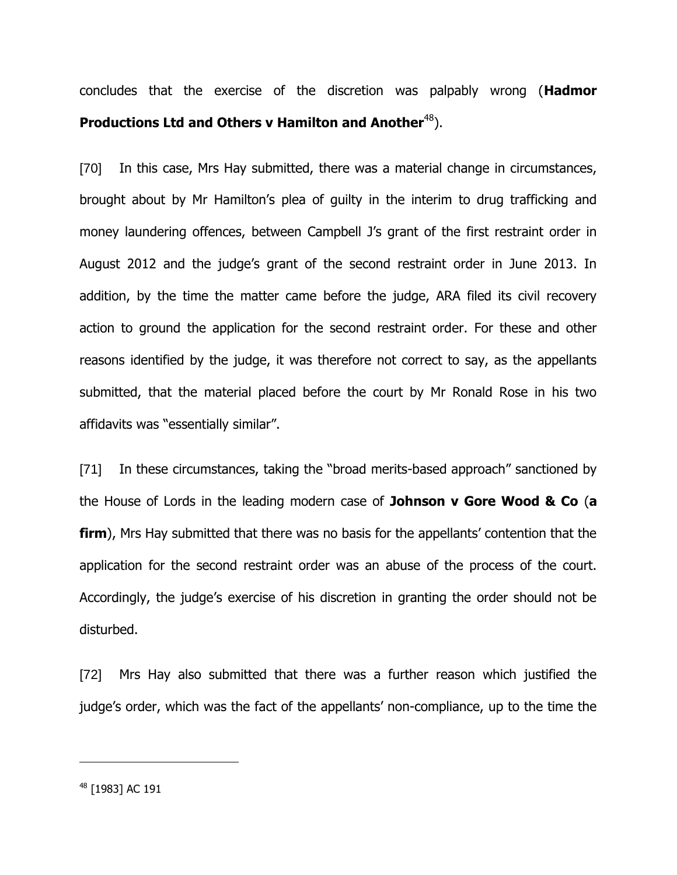concludes that the exercise of the discretion was palpably wrong (**Hadmor Productions Ltd and Others v Hamilton and Another<sup>48</sup>).** 

[70] In this case, Mrs Hay submitted, there was a material change in circumstances, brought about by Mr Hamilton's plea of guilty in the interim to drug trafficking and money laundering offences, between Campbell J"s grant of the first restraint order in August 2012 and the judge"s grant of the second restraint order in June 2013. In addition, by the time the matter came before the judge, ARA filed its civil recovery action to ground the application for the second restraint order. For these and other reasons identified by the judge, it was therefore not correct to say, as the appellants submitted, that the material placed before the court by Mr Ronald Rose in his two affidavits was "essentially similar".

[71] In these circumstances, taking the "broad merits-based approach" sanctioned by the House of Lords in the leading modern case of **Johnson v Gore Wood & Co** (**a firm**), Mrs Hay submitted that there was no basis for the appellants' contention that the application for the second restraint order was an abuse of the process of the court. Accordingly, the judge's exercise of his discretion in granting the order should not be disturbed.

[72] Mrs Hay also submitted that there was a further reason which justified the judge's order, which was the fact of the appellants' non-compliance, up to the time the

<sup>48</sup> [1983] AC 191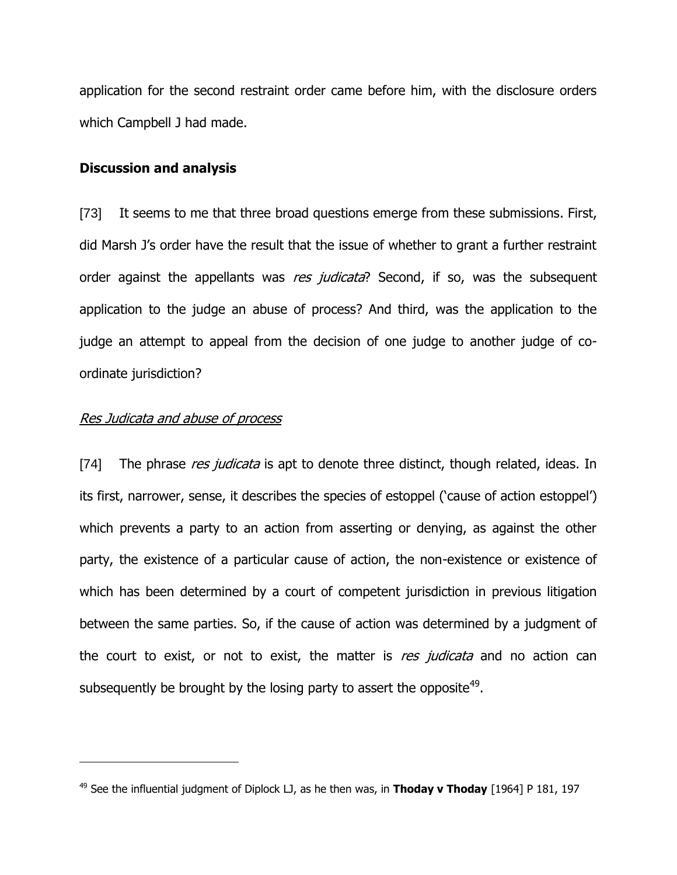application for the second restraint order came before him, with the disclosure orders which Campbell J had made.

#### **Discussion and analysis**

[73] It seems to me that three broad questions emerge from these submissions. First, did Marsh J's order have the result that the issue of whether to grant a further restraint order against the appellants was res judicata? Second, if so, was the subsequent application to the judge an abuse of process? And third, was the application to the judge an attempt to appeal from the decision of one judge to another judge of coordinate jurisdiction?

#### Res Judicata and abuse of process

 $\overline{a}$ 

[74] The phrase res judicata is apt to denote three distinct, though related, ideas. In its first, narrower, sense, it describes the species of estoppel ("cause of action estoppel") which prevents a party to an action from asserting or denying, as against the other party, the existence of a particular cause of action, the non-existence or existence of which has been determined by a court of competent jurisdiction in previous litigation between the same parties. So, if the cause of action was determined by a judgment of the court to exist, or not to exist, the matter is res judicata and no action can subsequently be brought by the losing party to assert the opposite<sup>49</sup>.

<sup>49</sup> See the influential judgment of Diplock LJ, as he then was, in **Thoday v Thoday** [1964] P 181, 197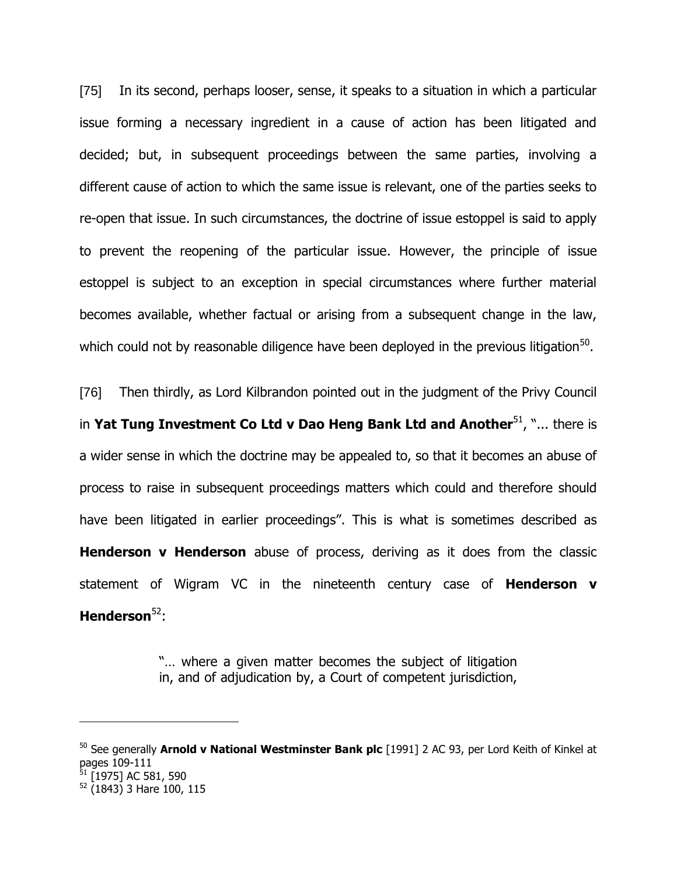[75] In its second, perhaps looser, sense, it speaks to a situation in which a particular issue forming a necessary ingredient in a cause of action has been litigated and decided; but, in subsequent proceedings between the same parties, involving a different cause of action to which the same issue is relevant, one of the parties seeks to re-open that issue. In such circumstances, the doctrine of issue estoppel is said to apply to prevent the reopening of the particular issue. However, the principle of issue estoppel is subject to an exception in special circumstances where further material becomes available, whether factual or arising from a subsequent change in the law, which could not by reasonable diligence have been deployed in the previous litigation $^{50}$ .

[76] Then thirdly, as Lord Kilbrandon pointed out in the judgment of the Privy Council in **Yat Tung Investment Co Ltd v Dao Heng Bank Ltd and Another<sup>51</sup>, "... there is** a wider sense in which the doctrine may be appealed to, so that it becomes an abuse of process to raise in subsequent proceedings matters which could and therefore should have been litigated in earlier proceedings". This is what is sometimes described as **Henderson v Henderson** abuse of process, deriving as it does from the classic statement of Wigram VC in the nineteenth century case of **Henderson v Henderson**<sup>52</sup>:

> "… where a given matter becomes the subject of litigation in, and of adjudication by, a Court of competent jurisdiction,

<sup>50</sup> See generally **Arnold v National Westminster Bank plc** [1991] 2 AC 93, per Lord Keith of Kinkel at pages 109-111  $^{51}$  [1975] AC 581, 590  $52$  (1843) 3 Hare 100, 115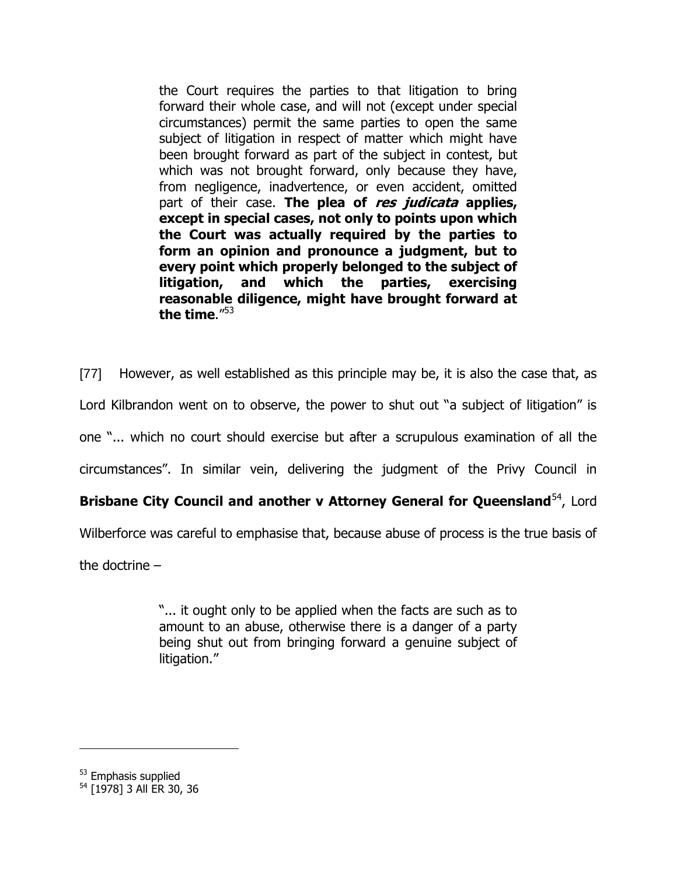the Court requires the parties to that litigation to bring forward their whole case, and will not (except under special circumstances) permit the same parties to open the same subject of litigation in respect of matter which might have been brought forward as part of the subject in contest, but which was not brought forward, only because they have, from negligence, inadvertence, or even accident, omitted part of their case. **The plea of res judicata applies, except in special cases, not only to points upon which the Court was actually required by the parties to form an opinion and pronounce a judgment, but to every point which properly belonged to the subject of litigation, and which the parties, exercising reasonable diligence, might have brought forward at the time**."<sup>53</sup>

[77] However, as well established as this principle may be, it is also the case that, as Lord Kilbrandon went on to observe, the power to shut out "a subject of litigation" is one "... which no court should exercise but after a scrupulous examination of all the circumstances". In similar vein, delivering the judgment of the Privy Council in

# **Brisbane City Council and another v Attorney General for Queensland<sup>54</sup>, Lord**

Wilberforce was careful to emphasise that, because abuse of process is the true basis of

the doctrine –

"... it ought only to be applied when the facts are such as to amount to an abuse, otherwise there is a danger of a party being shut out from bringing forward a genuine subject of litigation."

<sup>&</sup>lt;sup>53</sup> Emphasis supplied

<sup>54</sup> [1978] 3 All ER 30, 36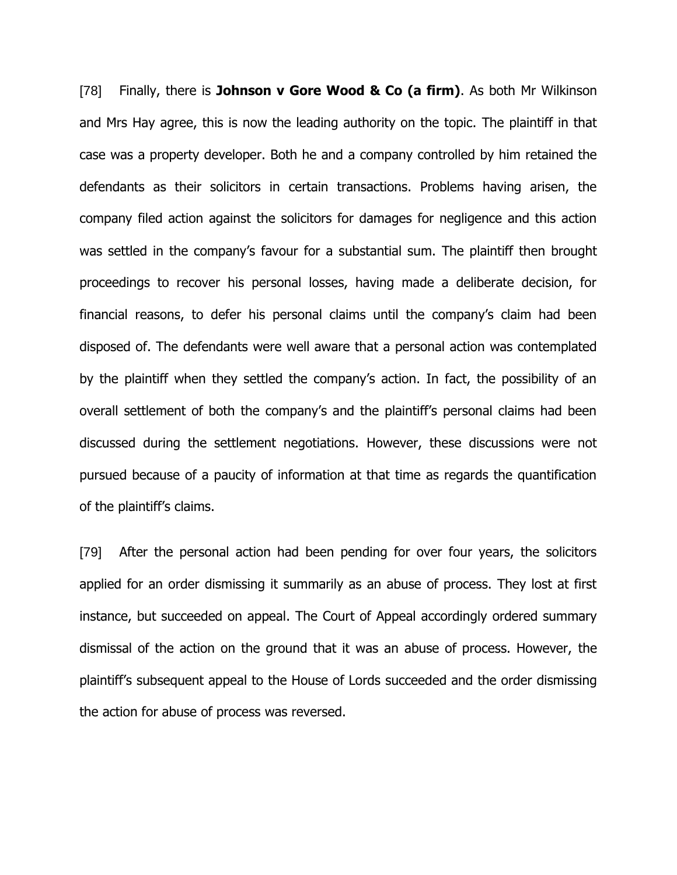[78] Finally, there is **Johnson v Gore Wood & Co (a firm)**. As both Mr Wilkinson and Mrs Hay agree, this is now the leading authority on the topic. The plaintiff in that case was a property developer. Both he and a company controlled by him retained the defendants as their solicitors in certain transactions. Problems having arisen, the company filed action against the solicitors for damages for negligence and this action was settled in the company's favour for a substantial sum. The plaintiff then brought proceedings to recover his personal losses, having made a deliberate decision, for financial reasons, to defer his personal claims until the company"s claim had been disposed of. The defendants were well aware that a personal action was contemplated by the plaintiff when they settled the company"s action. In fact, the possibility of an overall settlement of both the company's and the plaintiff's personal claims had been discussed during the settlement negotiations. However, these discussions were not pursued because of a paucity of information at that time as regards the quantification of the plaintiff"s claims.

[79] After the personal action had been pending for over four years, the solicitors applied for an order dismissing it summarily as an abuse of process. They lost at first instance, but succeeded on appeal. The Court of Appeal accordingly ordered summary dismissal of the action on the ground that it was an abuse of process. However, the plaintiff"s subsequent appeal to the House of Lords succeeded and the order dismissing the action for abuse of process was reversed.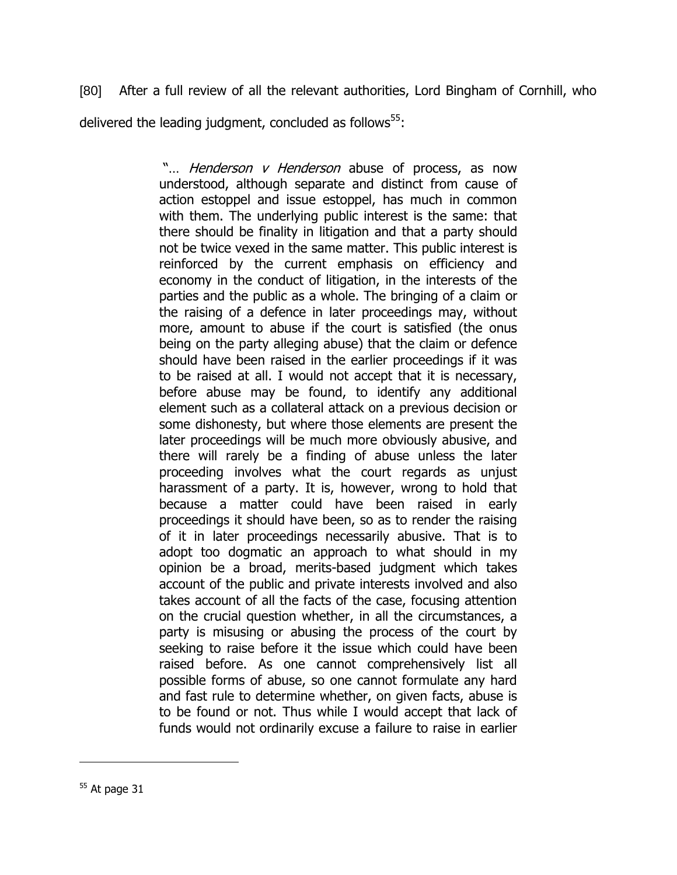[80] After a full review of all the relevant authorities, Lord Bingham of Cornhill, who delivered the leading judgment, concluded as follows $55$ :

> "... *Henderson v Henderson* abuse of process, as now understood, although separate and distinct from cause of action estoppel and issue estoppel, has much in common with them. The underlying public interest is the same: that there should be finality in litigation and that a party should not be twice vexed in the same matter. This public interest is reinforced by the current emphasis on efficiency and economy in the conduct of litigation, in the interests of the parties and the public as a whole. The bringing of a claim or the raising of a defence in later proceedings may, without more, amount to abuse if the court is satisfied (the onus being on the party alleging abuse) that the claim or defence should have been raised in the earlier proceedings if it was to be raised at all. I would not accept that it is necessary, before abuse may be found, to identify any additional element such as a collateral attack on a previous decision or some dishonesty, but where those elements are present the later proceedings will be much more obviously abusive, and there will rarely be a finding of abuse unless the later proceeding involves what the court regards as unjust harassment of a party. It is, however, wrong to hold that because a matter could have been raised in early proceedings it should have been, so as to render the raising of it in later proceedings necessarily abusive. That is to adopt too dogmatic an approach to what should in my opinion be a broad, merits-based judgment which takes account of the public and private interests involved and also takes account of all the facts of the case, focusing attention on the crucial question whether, in all the circumstances, a party is misusing or abusing the process of the court by seeking to raise before it the issue which could have been raised before. As one cannot comprehensively list all possible forms of abuse, so one cannot formulate any hard and fast rule to determine whether, on given facts, abuse is to be found or not. Thus while I would accept that lack of funds would not ordinarily excuse a failure to raise in earlier

 $55$  At page 31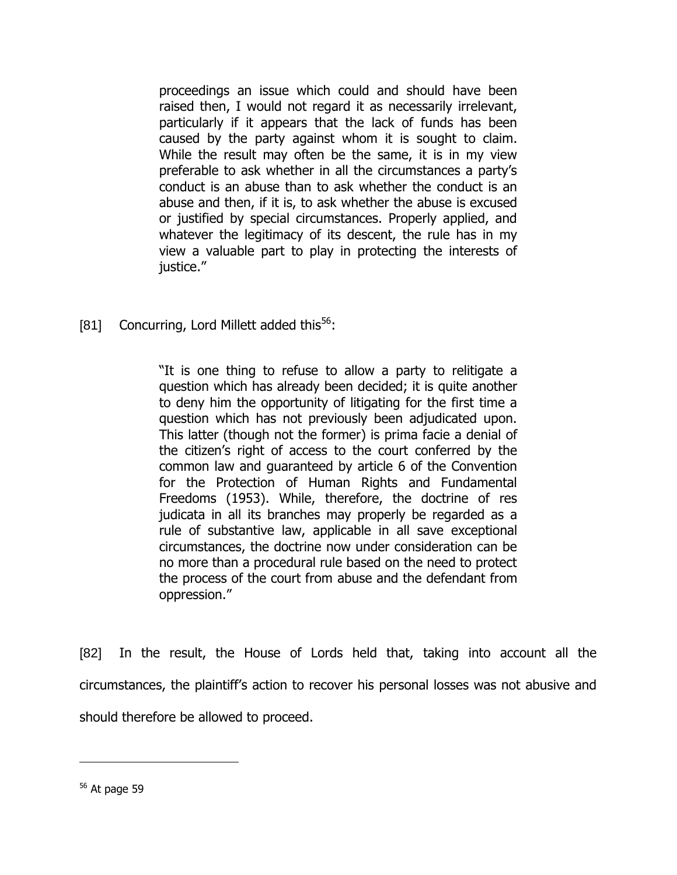proceedings an issue which could and should have been raised then, I would not regard it as necessarily irrelevant, particularly if it appears that the lack of funds has been caused by the party against whom it is sought to claim. While the result may often be the same, it is in my view preferable to ask whether in all the circumstances a party"s conduct is an abuse than to ask whether the conduct is an abuse and then, if it is, to ask whether the abuse is excused or justified by special circumstances. Properly applied, and whatever the legitimacy of its descent, the rule has in my view a valuable part to play in protecting the interests of justice."

[81] Concurring, Lord Millett added this<sup>56</sup>:

"It is one thing to refuse to allow a party to relitigate a question which has already been decided; it is quite another to deny him the opportunity of litigating for the first time a question which has not previously been adjudicated upon. This latter (though not the former) is prima facie a denial of the citizen"s right of access to the court conferred by the common law and guaranteed by article 6 of the Convention for the Protection of Human Rights and Fundamental Freedoms (1953). While, therefore, the doctrine of res judicata in all its branches may properly be regarded as a rule of substantive law, applicable in all save exceptional circumstances, the doctrine now under consideration can be no more than a procedural rule based on the need to protect the process of the court from abuse and the defendant from oppression."

[82] In the result, the House of Lords held that, taking into account all the circumstances, the plaintiff"s action to recover his personal losses was not abusive and should therefore be allowed to proceed.

 $56$  At page 59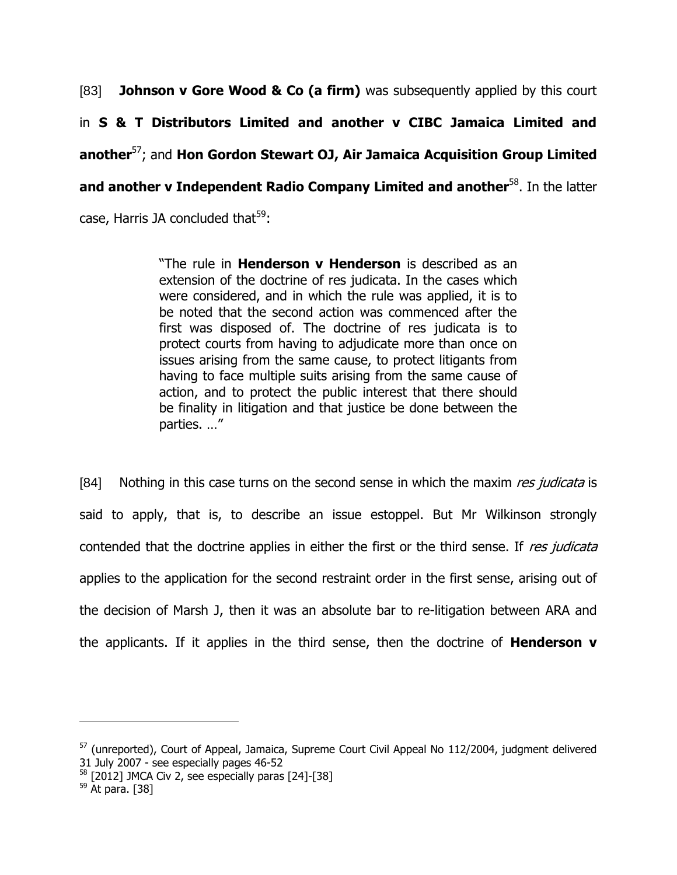[83] **Johnson v Gore Wood & Co (a firm)** was subsequently applied by this court in **S & T Distributors Limited and another v CIBC Jamaica Limited and another**<sup>57</sup>; and **Hon Gordon Stewart OJ, Air Jamaica Acquisition Group Limited and another v Independent Radio Company Limited and another<sup>58</sup>. In the latter** case, Harris JA concluded that $59$ :

> "The rule in **Henderson v Henderson** is described as an extension of the doctrine of res judicata. In the cases which were considered, and in which the rule was applied, it is to be noted that the second action was commenced after the first was disposed of. The doctrine of res judicata is to protect courts from having to adjudicate more than once on issues arising from the same cause, to protect litigants from having to face multiple suits arising from the same cause of action, and to protect the public interest that there should be finality in litigation and that justice be done between the parties. …"

[84] Nothing in this case turns on the second sense in which the maxim res judicata is said to apply, that is, to describe an issue estoppel. But Mr Wilkinson strongly contended that the doctrine applies in either the first or the third sense. If res judicata applies to the application for the second restraint order in the first sense, arising out of the decision of Marsh J, then it was an absolute bar to re-litigation between ARA and the applicants. If it applies in the third sense, then the doctrine of **Henderson v** 

<sup>&</sup>lt;sup>57</sup> (unreported), Court of Appeal, Jamaica, Supreme Court Civil Appeal No 112/2004, judgment delivered 31 July 2007 - see especially pages 46-52

 $58$  [2012] JMCA Civ 2, see especially paras [24]-[38]

 $59$  At para. [38]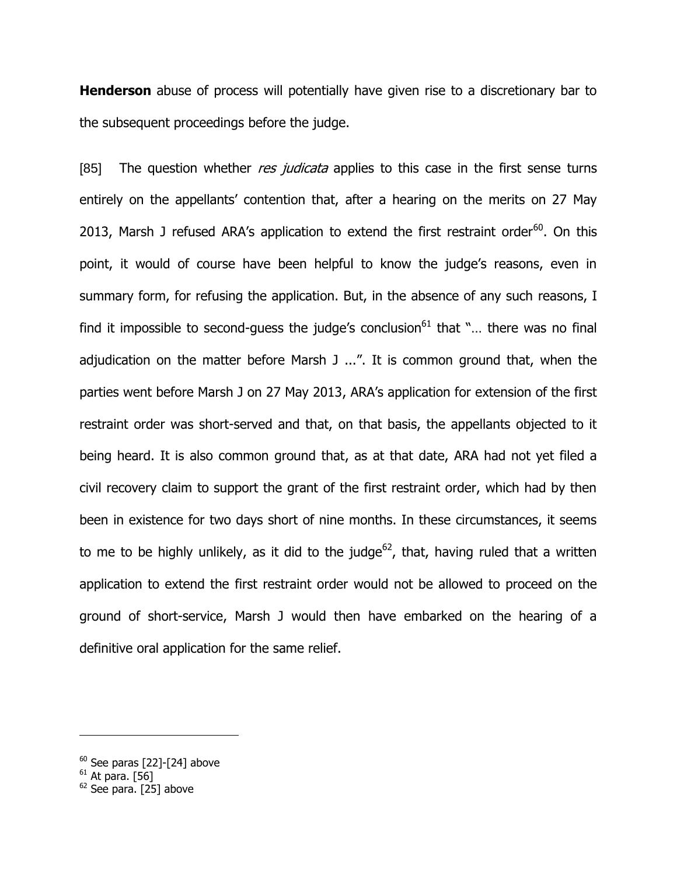**Henderson** abuse of process will potentially have given rise to a discretionary bar to the subsequent proceedings before the judge.

[85] The question whether res judicata applies to this case in the first sense turns entirely on the appellants' contention that, after a hearing on the merits on 27 May 2013, Marsh J refused ARA's application to extend the first restraint order $^{60}$ . On this point, it would of course have been helpful to know the judge's reasons, even in summary form, for refusing the application. But, in the absence of any such reasons, I find it impossible to second-guess the judge's conclusion $61$  that "... there was no final adjudication on the matter before Marsh J ...". It is common ground that, when the parties went before Marsh J on 27 May 2013, ARA"s application for extension of the first restraint order was short-served and that, on that basis, the appellants objected to it being heard. It is also common ground that, as at that date, ARA had not yet filed a civil recovery claim to support the grant of the first restraint order, which had by then been in existence for two days short of nine months. In these circumstances, it seems to me to be highly unlikely, as it did to the judge<sup>62</sup>, that, having ruled that a written application to extend the first restraint order would not be allowed to proceed on the ground of short-service, Marsh J would then have embarked on the hearing of a definitive oral application for the same relief.

 $^{60}$  See paras [22]-[24] above

 $^{61}$  At para. [56]

<sup>&</sup>lt;sup>62</sup> See para. [25] above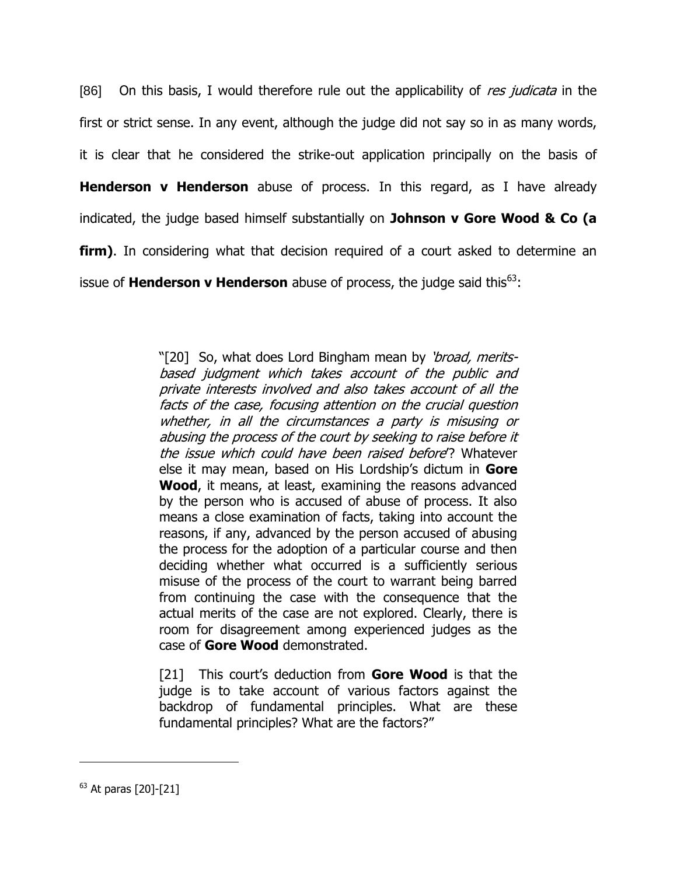[86] On this basis, I would therefore rule out the applicability of res judicata in the first or strict sense. In any event, although the judge did not say so in as many words, it is clear that he considered the strike-out application principally on the basis of **Henderson v Henderson** abuse of process. In this regard, as I have already indicated, the judge based himself substantially on **Johnson v Gore Wood & Co (a firm)**. In considering what that decision required of a court asked to determine an issue of **Henderson v Henderson** abuse of process, the judge said this<sup>63</sup>:

> "[20] So, what does Lord Bingham mean by 'broad, meritsbased judgment which takes account of the public and private interests involved and also takes account of all the facts of the case, focusing attention on the crucial question whether, in all the circumstances a party is misusing or abusing the process of the court by seeking to raise before it the issue which could have been raised before<sup>'</sup>? Whatever else it may mean, based on His Lordship"s dictum in **Gore Wood**, it means, at least, examining the reasons advanced by the person who is accused of abuse of process. It also means a close examination of facts, taking into account the reasons, if any, advanced by the person accused of abusing the process for the adoption of a particular course and then deciding whether what occurred is a sufficiently serious misuse of the process of the court to warrant being barred from continuing the case with the consequence that the actual merits of the case are not explored. Clearly, there is room for disagreement among experienced judges as the case of **Gore Wood** demonstrated.

> [21] This court's deduction from **Gore Wood** is that the judge is to take account of various factors against the backdrop of fundamental principles. What are these fundamental principles? What are the factors?"

<sup>63</sup> At paras [20]-[21]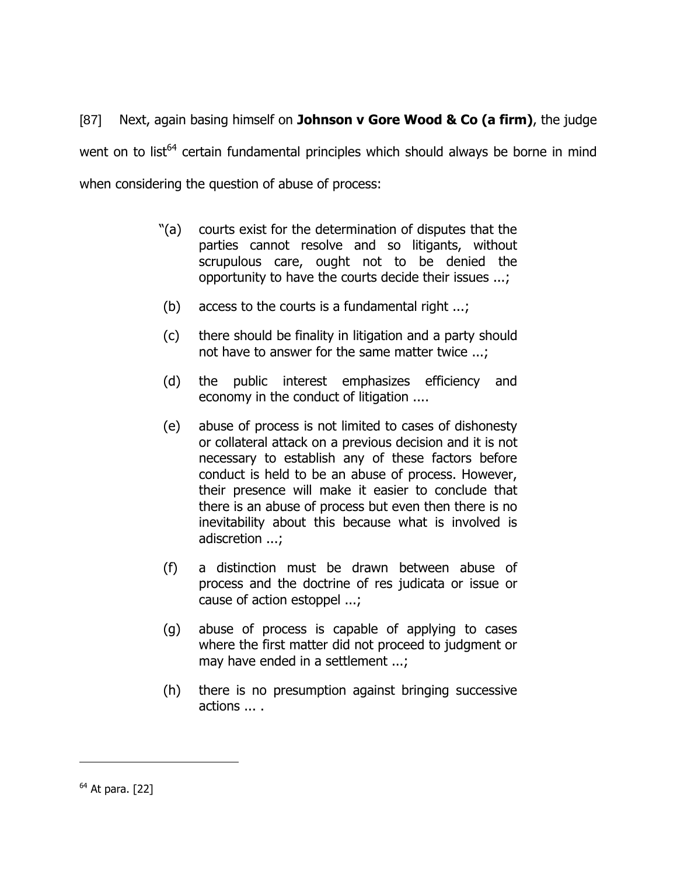[87] Next, again basing himself on **Johnson v Gore Wood & Co (a firm)**, the judge went on to list<sup>64</sup> certain fundamental principles which should always be borne in mind when considering the question of abuse of process:

- "(a) courts exist for the determination of disputes that the parties cannot resolve and so litigants, without scrupulous care, ought not to be denied the opportunity to have the courts decide their issues ...;
- (b) access to the courts is a fundamental right ...;
- (c) there should be finality in litigation and a party should not have to answer for the same matter twice ...;
- (d) the public interest emphasizes efficiency and economy in the conduct of litigation ....
- (e) abuse of process is not limited to cases of dishonesty or collateral attack on a previous decision and it is not necessary to establish any of these factors before conduct is held to be an abuse of process. However, their presence will make it easier to conclude that there is an abuse of process but even then there is no inevitability about this because what is involved is adiscretion ...;
- (f) a distinction must be drawn between abuse of process and the doctrine of res judicata or issue or cause of action estoppel ...;
- (g) abuse of process is capable of applying to cases where the first matter did not proceed to judgment or may have ended in a settlement ...;
- (h) there is no presumption against bringing successive actions ... .

 $64$  At para. [22]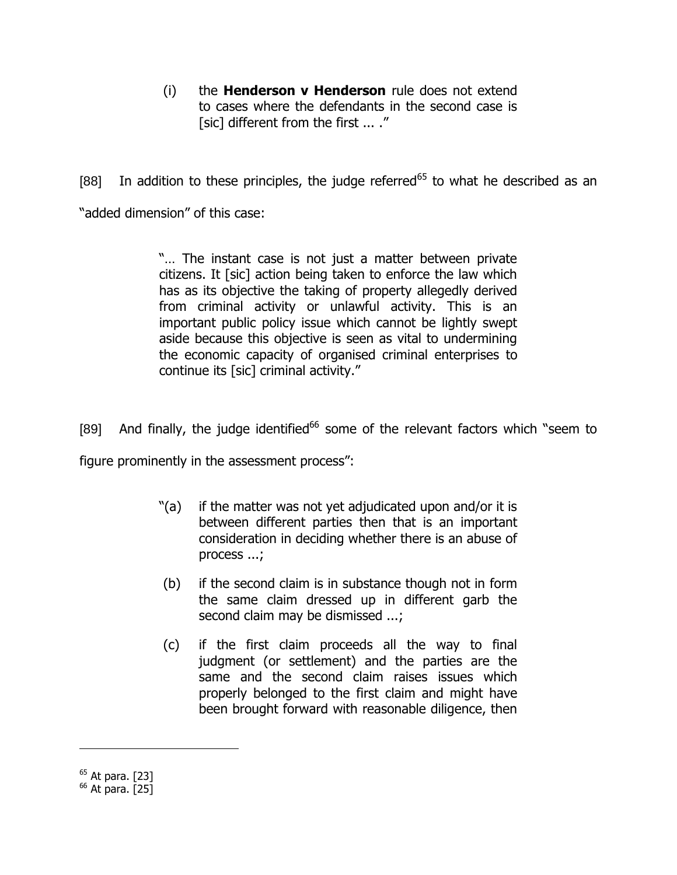(i) the **Henderson v Henderson** rule does not extend to cases where the defendants in the second case is [sic] different from the first ... ."

[88] In addition to these principles, the judge referred<sup>65</sup> to what he described as an "added dimension" of this case:

> "… The instant case is not just a matter between private citizens. It [sic] action being taken to enforce the law which has as its objective the taking of property allegedly derived from criminal activity or unlawful activity. This is an important public policy issue which cannot be lightly swept aside because this objective is seen as vital to undermining the economic capacity of organised criminal enterprises to continue its [sic] criminal activity."

[89] And finally, the judge identified<sup>66</sup> some of the relevant factors which "seem to

figure prominently in the assessment process":

- "(a) if the matter was not yet adjudicated upon and/or it is between different parties then that is an important consideration in deciding whether there is an abuse of process ...;
- (b) if the second claim is in substance though not in form the same claim dressed up in different garb the second claim may be dismissed ...;
- (c) if the first claim proceeds all the way to final judgment (or settlement) and the parties are the same and the second claim raises issues which properly belonged to the first claim and might have been brought forward with reasonable diligence, then

 $65$  At para. [23]

 $66$  At para. [25]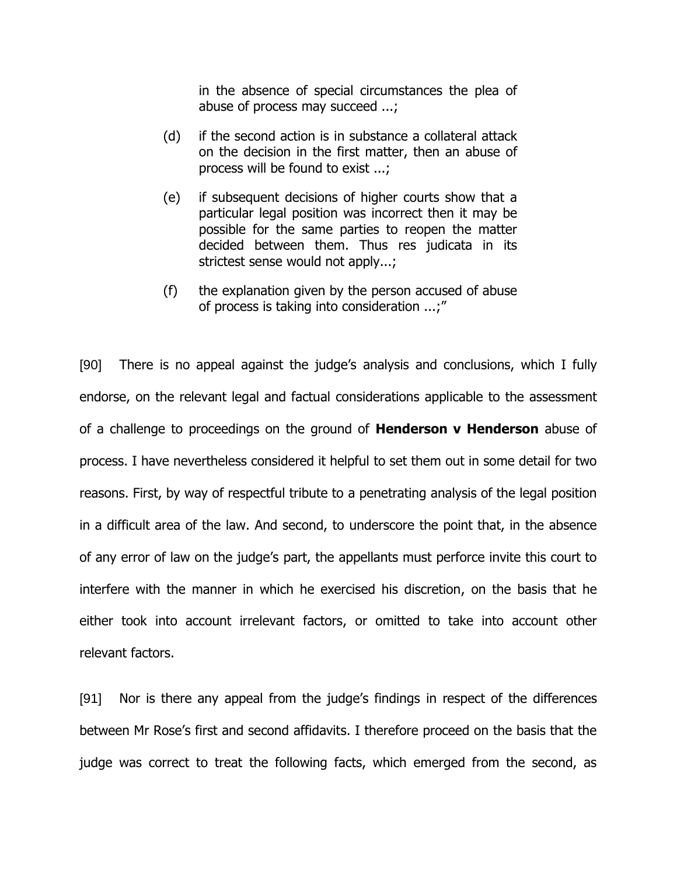in the absence of special circumstances the plea of abuse of process may succeed ...;

- (d) if the second action is in substance a collateral attack on the decision in the first matter, then an abuse of process will be found to exist ...;
- (e) if subsequent decisions of higher courts show that a particular legal position was incorrect then it may be possible for the same parties to reopen the matter decided between them. Thus res judicata in its strictest sense would not apply...;
- (f) the explanation given by the person accused of abuse of process is taking into consideration ...;"

[90] There is no appeal against the judge"s analysis and conclusions, which I fully endorse, on the relevant legal and factual considerations applicable to the assessment of a challenge to proceedings on the ground of **Henderson v Henderson** abuse of process. I have nevertheless considered it helpful to set them out in some detail for two reasons. First, by way of respectful tribute to a penetrating analysis of the legal position in a difficult area of the law. And second, to underscore the point that, in the absence of any error of law on the judge"s part, the appellants must perforce invite this court to interfere with the manner in which he exercised his discretion, on the basis that he either took into account irrelevant factors, or omitted to take into account other relevant factors.

[91] Nor is there any appeal from the judge"s findings in respect of the differences between Mr Rose"s first and second affidavits. I therefore proceed on the basis that the judge was correct to treat the following facts, which emerged from the second, as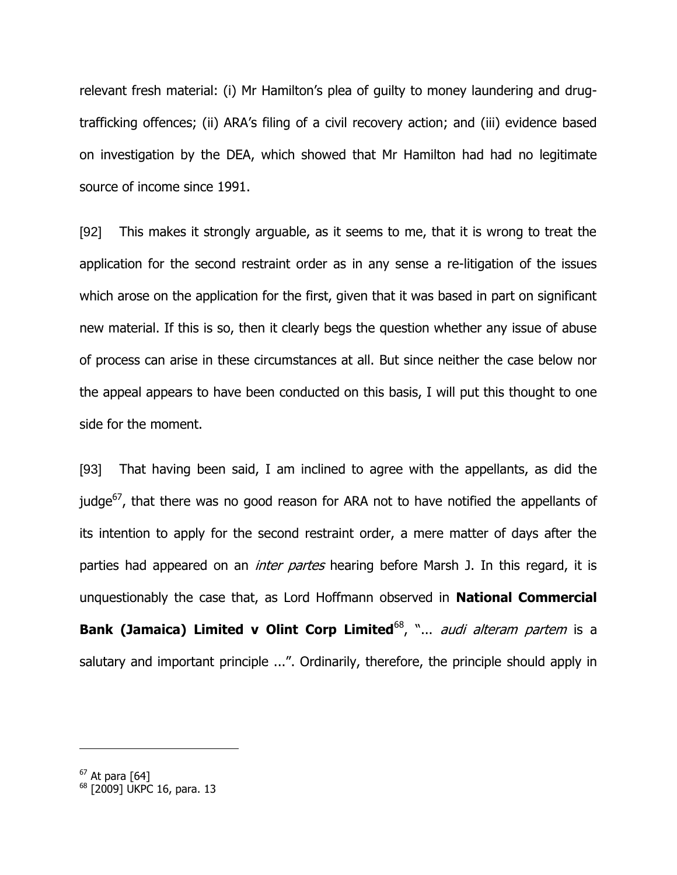relevant fresh material: (i) Mr Hamilton's plea of guilty to money laundering and drugtrafficking offences; (ii) ARA"s filing of a civil recovery action; and (iii) evidence based on investigation by the DEA, which showed that Mr Hamilton had had no legitimate source of income since 1991.

[92] This makes it strongly arguable, as it seems to me, that it is wrong to treat the application for the second restraint order as in any sense a re-litigation of the issues which arose on the application for the first, given that it was based in part on significant new material. If this is so, then it clearly begs the question whether any issue of abuse of process can arise in these circumstances at all. But since neither the case below nor the appeal appears to have been conducted on this basis, I will put this thought to one side for the moment.

[93] That having been said, I am inclined to agree with the appellants, as did the judge $^{67}$ , that there was no good reason for ARA not to have notified the appellants of its intention to apply for the second restraint order, a mere matter of days after the parties had appeared on an *inter partes* hearing before Marsh J. In this regard, it is unquestionably the case that, as Lord Hoffmann observed in **National Commercial Bank (Jamaica) Limited v Olint Corp Limited<sup>68</sup>, "...** *audi alteram partem* **is a** salutary and important principle ...". Ordinarily, therefore, the principle should apply in

 $^{67}$  At para [64]

<sup>&</sup>lt;sup>68</sup> [2009] UKPC 16, para. 13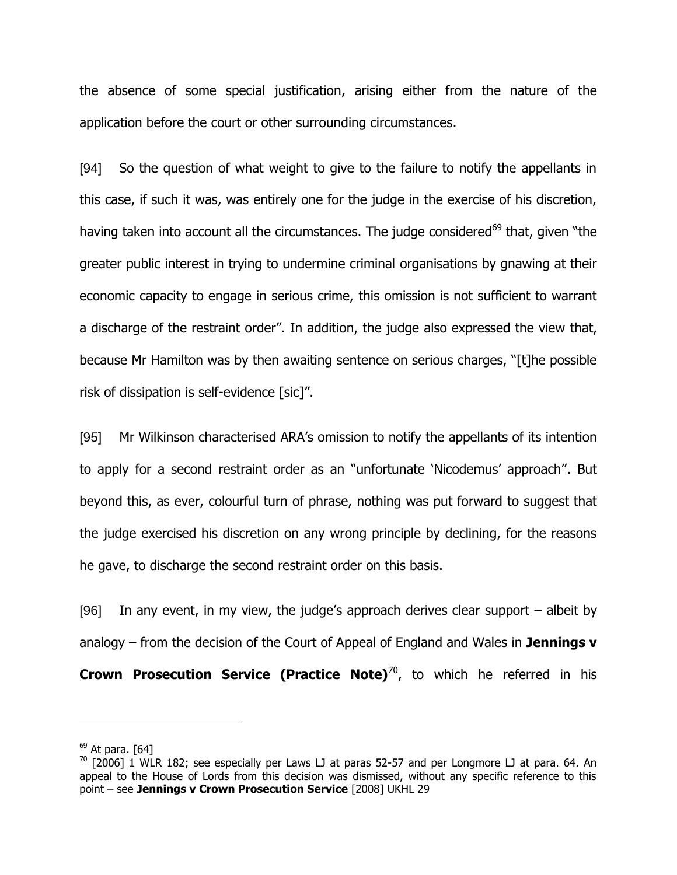the absence of some special justification, arising either from the nature of the application before the court or other surrounding circumstances.

[94] So the question of what weight to give to the failure to notify the appellants in this case, if such it was, was entirely one for the judge in the exercise of his discretion, having taken into account all the circumstances. The judge considered<sup>69</sup> that, given "the greater public interest in trying to undermine criminal organisations by gnawing at their economic capacity to engage in serious crime, this omission is not sufficient to warrant a discharge of the restraint order". In addition, the judge also expressed the view that, because Mr Hamilton was by then awaiting sentence on serious charges, "[t]he possible risk of dissipation is self-evidence [sic]".

[95] Mr Wilkinson characterised ARA"s omission to notify the appellants of its intention to apply for a second restraint order as an "unfortunate "Nicodemus" approach". But beyond this, as ever, colourful turn of phrase, nothing was put forward to suggest that the judge exercised his discretion on any wrong principle by declining, for the reasons he gave, to discharge the second restraint order on this basis.

[96] In any event, in my view, the judge"s approach derives clear support – albeit by analogy – from the decision of the Court of Appeal of England and Wales in **Jennings v Crown Prosecution Service (Practice Note)**<sup>70</sup>, to which he referred in his

 $69$  At para. [64]

 $70$  [2006] 1 WLR 182; see especially per Laws LJ at paras 52-57 and per Longmore LJ at para. 64. An appeal to the House of Lords from this decision was dismissed, without any specific reference to this point – see **Jennings v Crown Prosecution Service** [2008] UKHL 29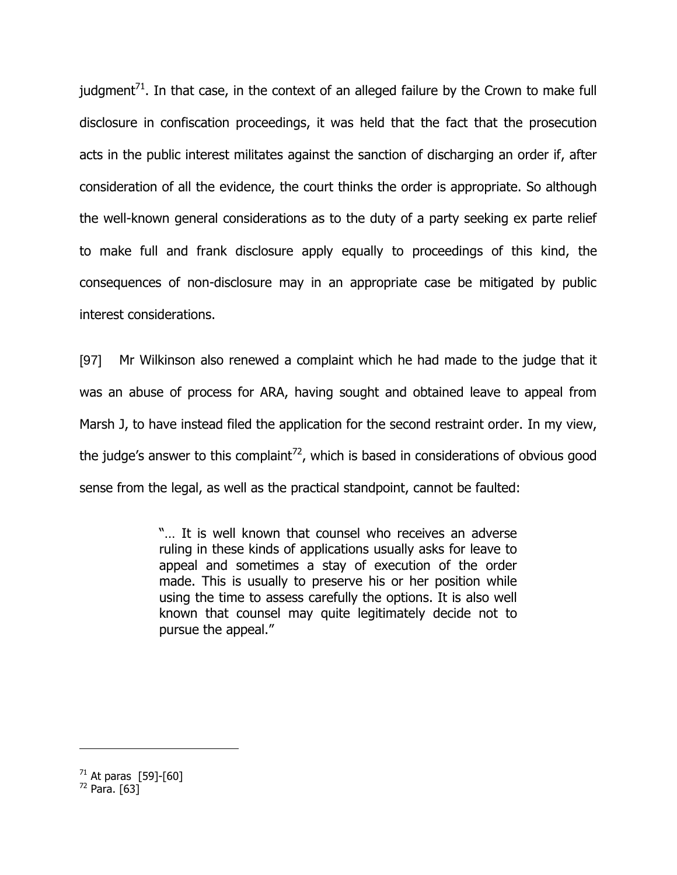judgment<sup>71</sup>. In that case, in the context of an alleged failure by the Crown to make full disclosure in confiscation proceedings, it was held that the fact that the prosecution acts in the public interest militates against the sanction of discharging an order if, after consideration of all the evidence, the court thinks the order is appropriate. So although the well-known general considerations as to the duty of a party seeking ex parte relief to make full and frank disclosure apply equally to proceedings of this kind, the consequences of non-disclosure may in an appropriate case be mitigated by public interest considerations.

[97] Mr Wilkinson also renewed a complaint which he had made to the judge that it was an abuse of process for ARA, having sought and obtained leave to appeal from Marsh J, to have instead filed the application for the second restraint order. In my view, the judge's answer to this complaint<sup>72</sup>, which is based in considerations of obvious good sense from the legal, as well as the practical standpoint, cannot be faulted:

> "… It is well known that counsel who receives an adverse ruling in these kinds of applications usually asks for leave to appeal and sometimes a stay of execution of the order made. This is usually to preserve his or her position while using the time to assess carefully the options. It is also well known that counsel may quite legitimately decide not to pursue the appeal."

 $71$  At paras [59]-[60]

 $72$  Para. [63]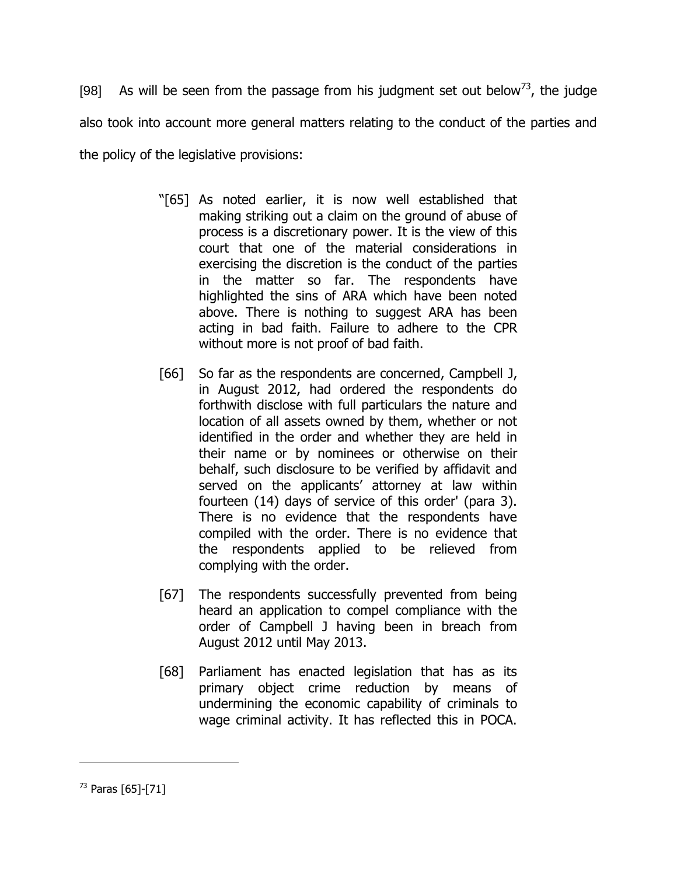[98] As will be seen from the passage from his judgment set out below<sup>3</sup>, the judge also took into account more general matters relating to the conduct of the parties and the policy of the legislative provisions:

- "[65] As noted earlier, it is now well established that making striking out a claim on the ground of abuse of process is a discretionary power. It is the view of this court that one of the material considerations in exercising the discretion is the conduct of the parties in the matter so far. The respondents have highlighted the sins of ARA which have been noted above. There is nothing to suggest ARA has been acting in bad faith. Failure to adhere to the CPR without more is not proof of bad faith.
- [66] So far as the respondents are concerned, Campbell J, in August 2012, had ordered the respondents do forthwith disclose with full particulars the nature and location of all assets owned by them, whether or not identified in the order and whether they are held in their name or by nominees or otherwise on their behalf, such disclosure to be verified by affidavit and served on the applicants' attorney at law within fourteen (14) days of service of this order' (para 3). There is no evidence that the respondents have compiled with the order. There is no evidence that the respondents applied to be relieved from complying with the order.
- [67] The respondents successfully prevented from being heard an application to compel compliance with the order of Campbell J having been in breach from August 2012 until May 2013.
- [68] Parliament has enacted legislation that has as its primary object crime reduction by means of undermining the economic capability of criminals to wage criminal activity. It has reflected this in POCA.

 $^{73}$  Paras [65]-[71]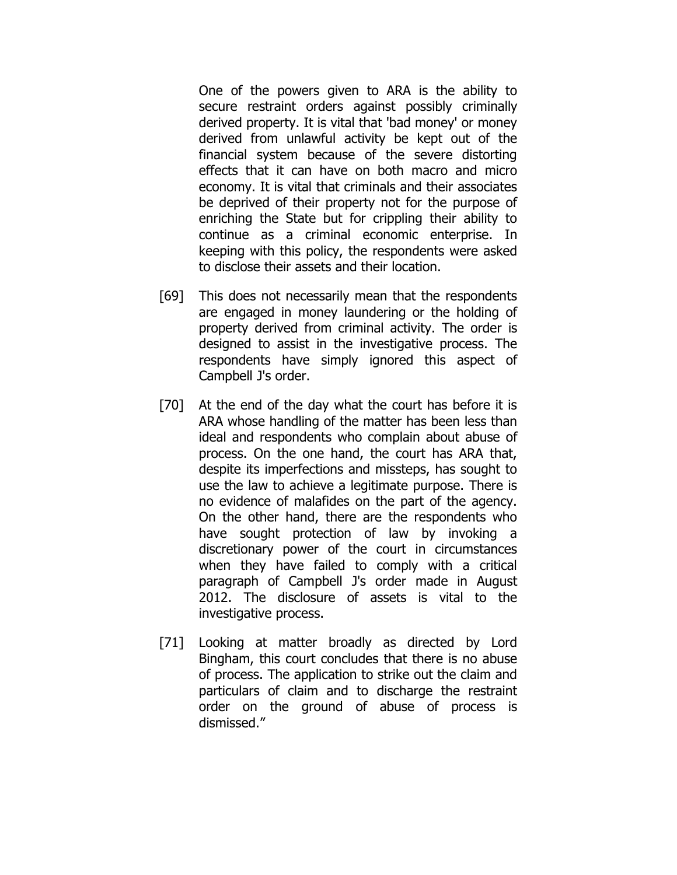One of the powers given to ARA is the ability to secure restraint orders against possibly criminally derived property. It is vital that 'bad money' or money derived from unlawful activity be kept out of the financial system because of the severe distorting effects that it can have on both macro and micro economy. It is vital that criminals and their associates be deprived of their property not for the purpose of enriching the State but for crippling their ability to continue as a criminal economic enterprise. In keeping with this policy, the respondents were asked to disclose their assets and their location.

- [69] This does not necessarily mean that the respondents are engaged in money laundering or the holding of property derived from criminal activity. The order is designed to assist in the investigative process. The respondents have simply ignored this aspect of Campbell J's order.
- [70] At the end of the day what the court has before it is ARA whose handling of the matter has been less than ideal and respondents who complain about abuse of process. On the one hand, the court has ARA that, despite its imperfections and missteps, has sought to use the law to achieve a legitimate purpose. There is no evidence of malafides on the part of the agency. On the other hand, there are the respondents who have sought protection of law by invoking a discretionary power of the court in circumstances when they have failed to comply with a critical paragraph of Campbell J's order made in August 2012. The disclosure of assets is vital to the investigative process.
- [71] Looking at matter broadly as directed by Lord Bingham, this court concludes that there is no abuse of process. The application to strike out the claim and particulars of claim and to discharge the restraint order on the ground of abuse of process is dismissed."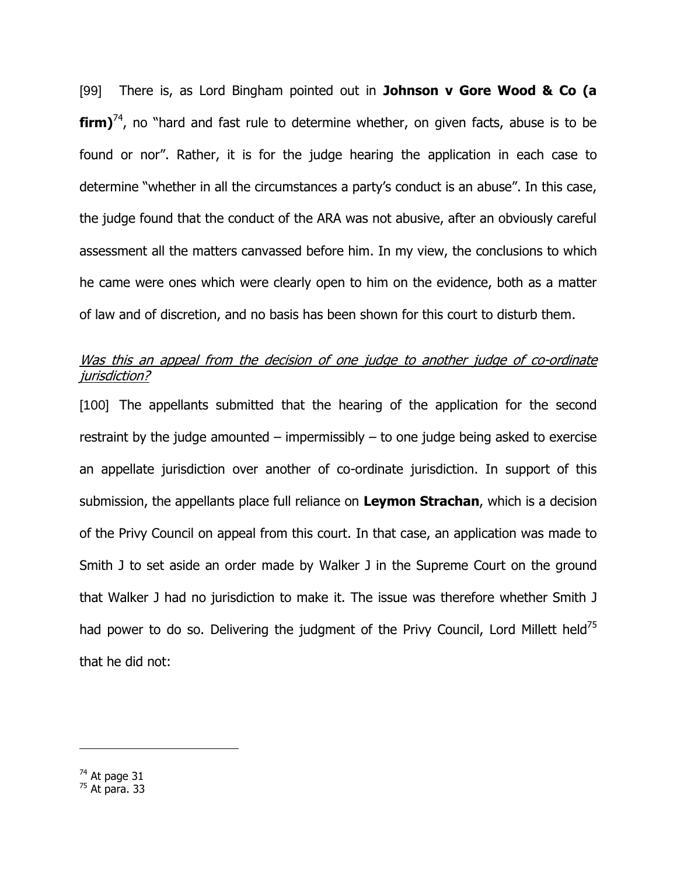[99] There is, as Lord Bingham pointed out in **Johnson v Gore Wood & Co (a firm)**<sup>74</sup>, no "hard and fast rule to determine whether, on given facts, abuse is to be found or nor". Rather, it is for the judge hearing the application in each case to determine "whether in all the circumstances a party"s conduct is an abuse". In this case, the judge found that the conduct of the ARA was not abusive, after an obviously careful assessment all the matters canvassed before him. In my view, the conclusions to which he came were ones which were clearly open to him on the evidence, both as a matter of law and of discretion, and no basis has been shown for this court to disturb them.

# Was this an appeal from the decision of one judge to another judge of co-ordinate jurisdiction?

[100] The appellants submitted that the hearing of the application for the second restraint by the judge amounted – impermissibly  $-$  to one judge being asked to exercise an appellate jurisdiction over another of co-ordinate jurisdiction. In support of this submission, the appellants place full reliance on **Leymon Strachan**, which is a decision of the Privy Council on appeal from this court. In that case, an application was made to Smith J to set aside an order made by Walker J in the Supreme Court on the ground that Walker J had no jurisdiction to make it. The issue was therefore whether Smith J had power to do so. Delivering the judgment of the Privy Council, Lord Millett held<sup>75</sup> that he did not:

 $^{74}$  At page 31

 $75$  At para. 33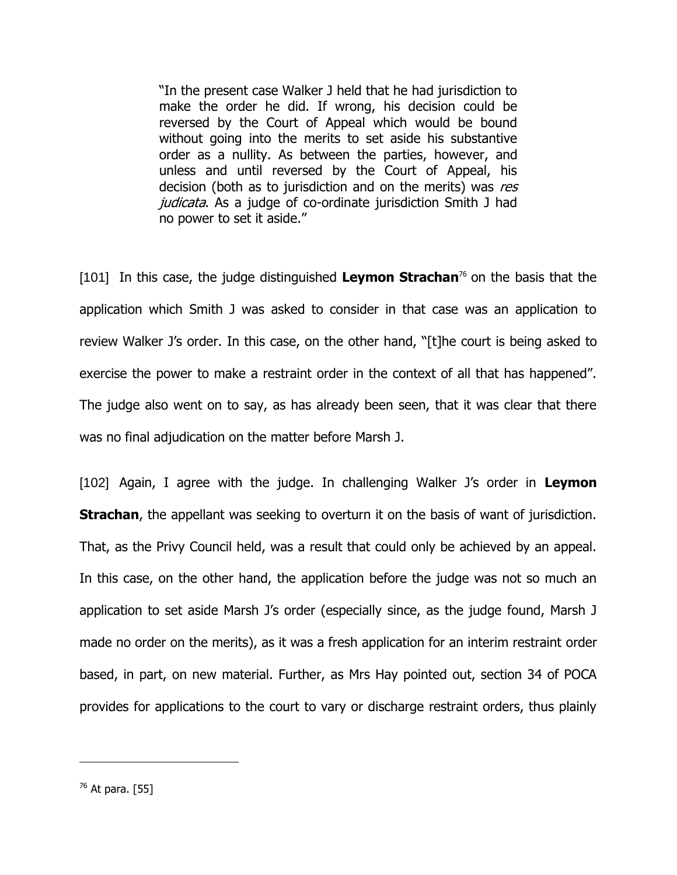"In the present case Walker J held that he had jurisdiction to make the order he did. If wrong, his decision could be reversed by the Court of Appeal which would be bound without going into the merits to set aside his substantive order as a nullity. As between the parties, however, and unless and until reversed by the Court of Appeal, his decision (both as to jurisdiction and on the merits) was res judicata. As a judge of co-ordinate jurisdiction Smith J had no power to set it aside."

[101] In this case, the judge distinguished **Leymon Strachan**<sup>76</sup> on the basis that the application which Smith J was asked to consider in that case was an application to review Walker J"s order. In this case, on the other hand, "[t]he court is being asked to exercise the power to make a restraint order in the context of all that has happened". The judge also went on to say, as has already been seen, that it was clear that there was no final adjudication on the matter before Marsh J.

[102] Again, I agree with the judge. In challenging Walker J's order in Leymon **Strachan**, the appellant was seeking to overturn it on the basis of want of jurisdiction. That, as the Privy Council held, was a result that could only be achieved by an appeal. In this case, on the other hand, the application before the judge was not so much an application to set aside Marsh J"s order (especially since, as the judge found, Marsh J made no order on the merits), as it was a fresh application for an interim restraint order based, in part, on new material. Further, as Mrs Hay pointed out, section 34 of POCA provides for applications to the court to vary or discharge restraint orders, thus plainly

 $^{76}$  At para. [55]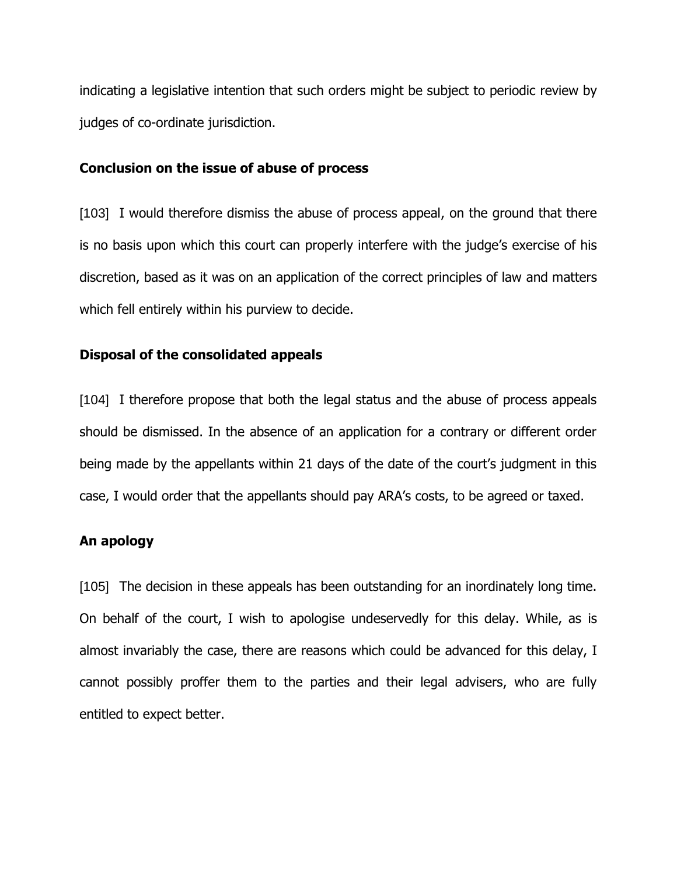indicating a legislative intention that such orders might be subject to periodic review by judges of co-ordinate jurisdiction.

#### **Conclusion on the issue of abuse of process**

[103] I would therefore dismiss the abuse of process appeal, on the ground that there is no basis upon which this court can properly interfere with the judge's exercise of his discretion, based as it was on an application of the correct principles of law and matters which fell entirely within his purview to decide.

### **Disposal of the consolidated appeals**

[104] I therefore propose that both the legal status and the abuse of process appeals should be dismissed. In the absence of an application for a contrary or different order being made by the appellants within 21 days of the date of the court's judgment in this case, I would order that the appellants should pay ARA"s costs, to be agreed or taxed.

### **An apology**

[105] The decision in these appeals has been outstanding for an inordinately long time. On behalf of the court, I wish to apologise undeservedly for this delay. While, as is almost invariably the case, there are reasons which could be advanced for this delay, I cannot possibly proffer them to the parties and their legal advisers, who are fully entitled to expect better.